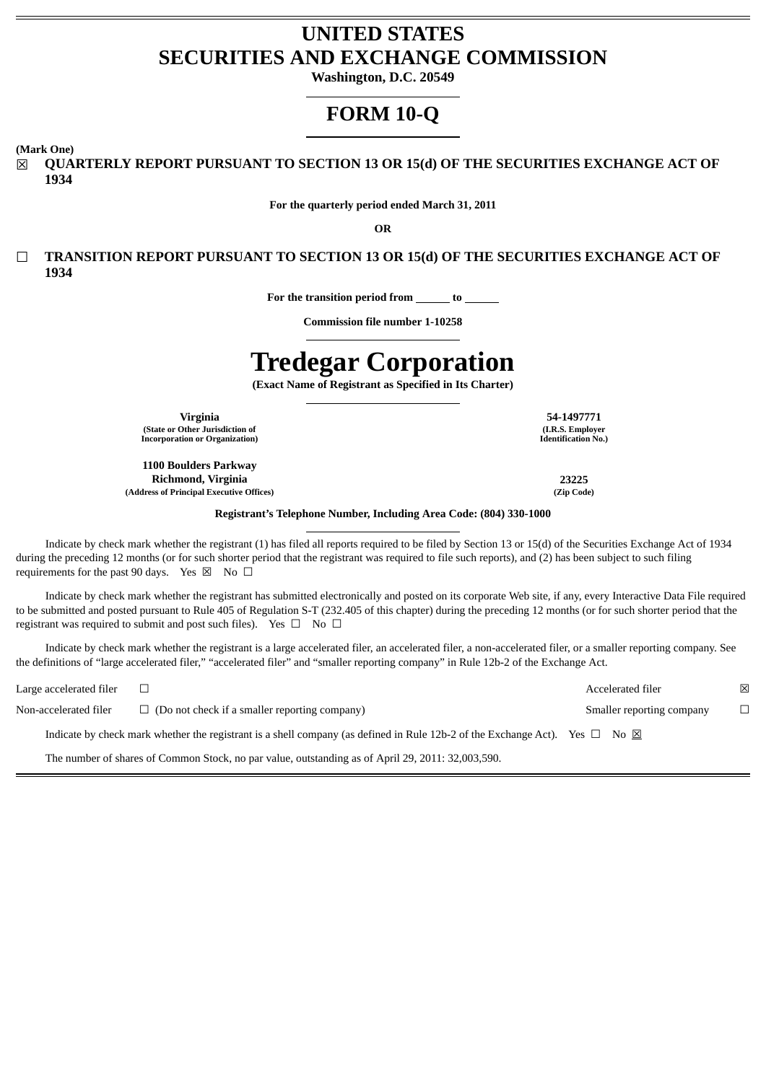# **UNITED STATES SECURITIES AND EXCHANGE COMMISSION**

**Washington, D.C. 20549**

# **FORM 10-Q**

**(Mark One)**

☒ **QUARTERLY REPORT PURSUANT TO SECTION 13 OR 15(d) OF THE SECURITIES EXCHANGE ACT OF 1934**

**For the quarterly period ended March 31, 2011**

**OR**

☐ **TRANSITION REPORT PURSUANT TO SECTION 13 OR 15(d) OF THE SECURITIES EXCHANGE ACT OF 1934**

For the transition period from <u>section</u> to

**Commission file number 1-10258**

# **Tredegar Corporation**

**(Exact Name of Registrant as Specified in Its Charter)**

**Virginia 54-1497771 (State or Other Jurisdiction of Incorporation or Organization)**

**1100 Boulders Parkway Richmond, Virginia 23225 (Address of Principal Executive Offices) (Zip Code)**

**(I.R.S. Employer Identification No.)**

**Registrant's Telephone Number, Including Area Code: (804) 330-1000**

Indicate by check mark whether the registrant (1) has filed all reports required to be filed by Section 13 or 15(d) of the Securities Exchange Act of 1934 during the preceding 12 months (or for such shorter period that the registrant was required to file such reports), and (2) has been subject to such filing requirements for the past 90 days. Yes  $\boxtimes$  No  $\Box$ 

Indicate by check mark whether the registrant has submitted electronically and posted on its corporate Web site, if any, every Interactive Data File required to be submitted and posted pursuant to Rule 405 of Regulation S-T (232.405 of this chapter) during the preceding 12 months (or for such shorter period that the registrant was required to submit and post such files). Yes  $\Box$  No  $\Box$ 

Indicate by check mark whether the registrant is a large accelerated filer, an accelerated filer, a non-accelerated filer, or a smaller reporting company. See the definitions of "large accelerated filer," "accelerated filer" and "smaller reporting company" in Rule 12b-2 of the Exchange Act.

| Large accelerated filer |                                                                                                                                            | Accelerated filer         | ⊠ |
|-------------------------|--------------------------------------------------------------------------------------------------------------------------------------------|---------------------------|---|
| Non-accelerated filer   | $\Box$ (Do not check if a smaller reporting company)                                                                                       | Smaller reporting company |   |
|                         | Indicate by check mark whether the registrant is a shell company (as defined in Rule 12b-2 of the Exchange Act). Yes $\Box$ No $\boxtimes$ |                           |   |
|                         |                                                                                                                                            |                           |   |

The number of shares of Common Stock, no par value, outstanding as of April 29, 2011: 32,003,590.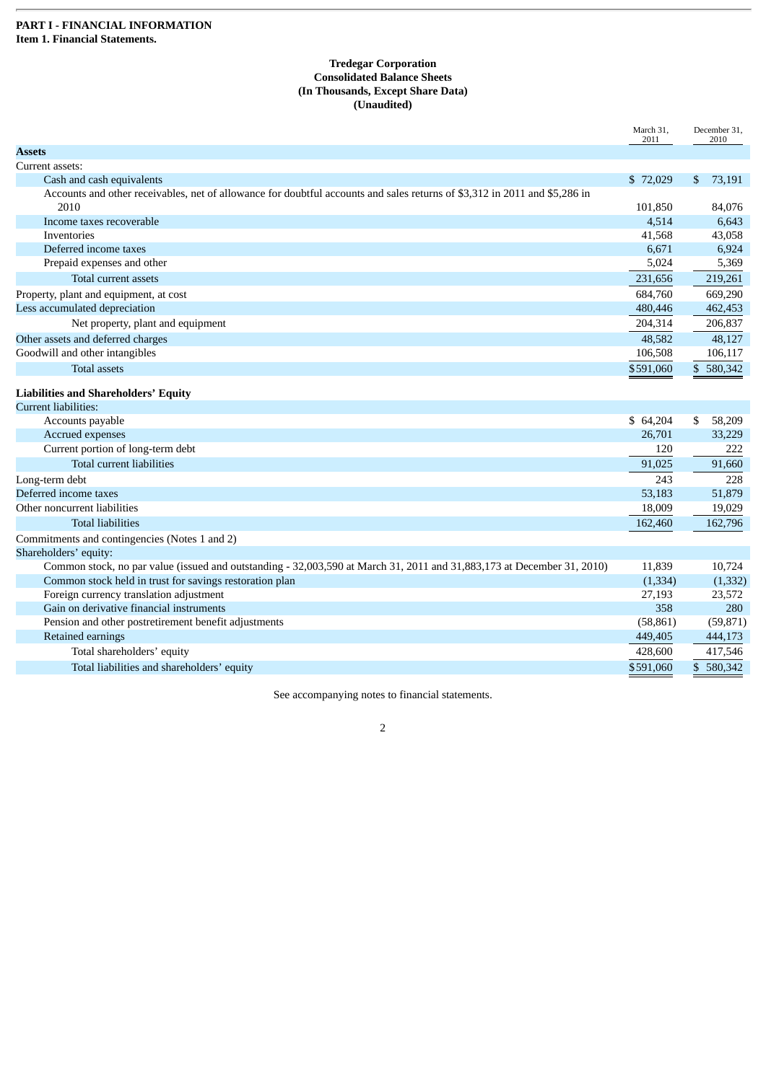# **Tredegar Corporation Consolidated Balance Sheets (In Thousands, Except Share Data) (Unaudited)**

|                                                                                                                            | March 31,<br>2011 | December 31,<br>2010   |
|----------------------------------------------------------------------------------------------------------------------------|-------------------|------------------------|
| <b>Assets</b>                                                                                                              |                   |                        |
| Current assets:                                                                                                            |                   |                        |
| Cash and cash equivalents                                                                                                  | \$72,029          | $\mathbb{S}$<br>73,191 |
| Accounts and other receivables, net of allowance for doubtful accounts and sales returns of \$3,312 in 2011 and \$5,286 in |                   |                        |
| 2010                                                                                                                       | 101,850           | 84,076                 |
| Income taxes recoverable                                                                                                   | 4,514             | 6,643                  |
| Inventories                                                                                                                | 41,568            | 43,058                 |
| Deferred income taxes                                                                                                      | 6,671             | 6,924                  |
| Prepaid expenses and other                                                                                                 | 5,024             | 5,369                  |
| Total current assets                                                                                                       | 231,656           | 219,261                |
| Property, plant and equipment, at cost                                                                                     | 684,760           | 669,290                |
| Less accumulated depreciation                                                                                              | 480,446           | 462,453                |
| Net property, plant and equipment                                                                                          | 204,314           | 206,837                |
| Other assets and deferred charges                                                                                          | 48,582            | 48,127                 |
| Goodwill and other intangibles                                                                                             | 106,508           | 106,117                |
| <b>Total assets</b>                                                                                                        | \$591,060         | \$580,342              |
| <b>Liabilities and Shareholders' Equity</b>                                                                                |                   |                        |
| <b>Current liabilities:</b>                                                                                                |                   |                        |
| Accounts payable                                                                                                           | \$64,204          | 58,209<br>\$           |
| Accrued expenses                                                                                                           | 26,701            | 33,229                 |
| Current portion of long-term debt                                                                                          | 120               | 222                    |
| Total current liabilities                                                                                                  | 91,025            | 91,660                 |
| Long-term debt                                                                                                             | 243               | 228                    |
| Deferred income taxes                                                                                                      | 53,183            | 51,879                 |
| Other noncurrent liabilities                                                                                               | 18,009            | 19,029                 |
| <b>Total liabilities</b>                                                                                                   | 162,460           | 162,796                |
| Commitments and contingencies (Notes 1 and 2)                                                                              |                   |                        |
| Shareholders' equity:                                                                                                      |                   |                        |
| Common stock, no par value (issued and outstanding - 32,003,590 at March 31, 2011 and 31,883,173 at December 31, 2010)     | 11,839            | 10,724                 |
| Common stock held in trust for savings restoration plan                                                                    | (1, 334)          | (1, 332)               |
| Foreign currency translation adjustment                                                                                    | 27,193            | 23,572                 |
| Gain on derivative financial instruments                                                                                   | 358               | 280                    |
| Pension and other postretirement benefit adjustments                                                                       | (58, 861)         | (59, 871)              |
| Retained earnings                                                                                                          | 449,405           | 444,173                |
| Total shareholders' equity                                                                                                 | 428,600           | 417.546                |
| Total liabilities and shareholders' equity                                                                                 | \$591,060         | \$580,342              |
|                                                                                                                            |                   |                        |

See accompanying notes to financial statements.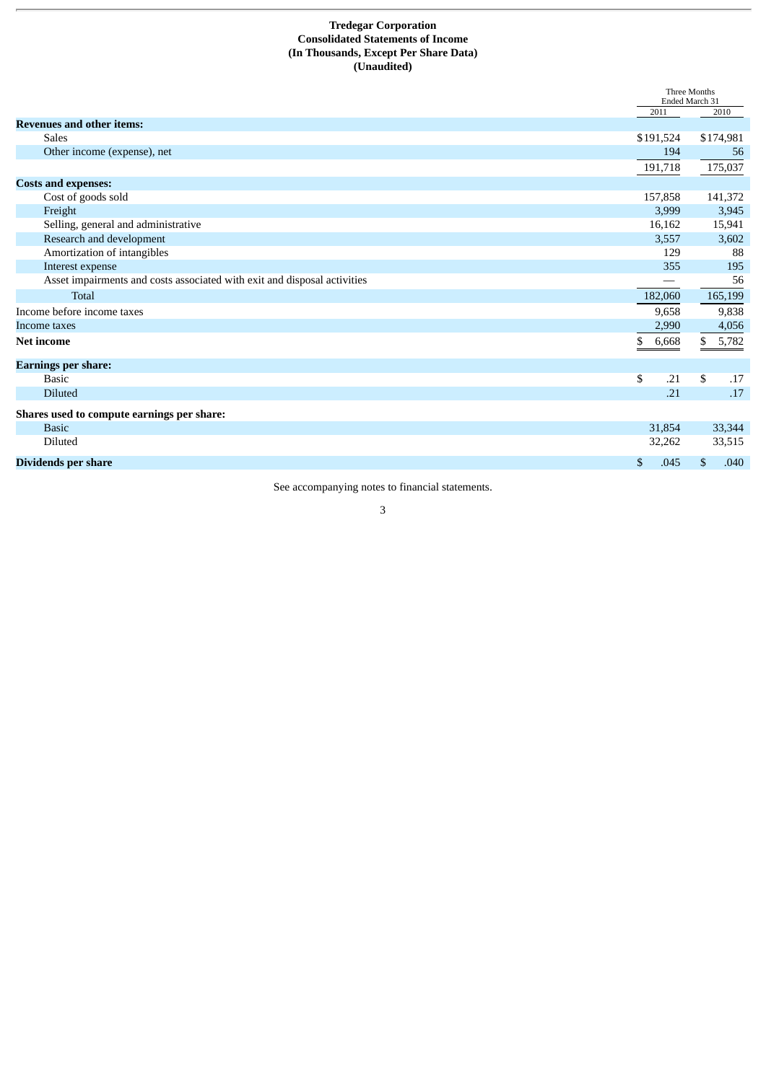# **Tredegar Corporation Consolidated Statements of Income (In Thousands, Except Per Share Data) (Unaudited)**

|                                                                          | Three Months<br>Ended March 31 |           |    |           |
|--------------------------------------------------------------------------|--------------------------------|-----------|----|-----------|
| <b>Revenues and other items:</b>                                         |                                | 2011      |    | 2010      |
| <b>Sales</b>                                                             |                                | \$191,524 |    | \$174,981 |
| Other income (expense), net                                              |                                | 194       |    | 56        |
|                                                                          |                                | 191,718   |    | 175,037   |
| <b>Costs and expenses:</b>                                               |                                |           |    |           |
| Cost of goods sold                                                       |                                | 157,858   |    | 141,372   |
| Freight                                                                  |                                | 3,999     |    | 3,945     |
| Selling, general and administrative                                      |                                | 16,162    |    | 15,941    |
| Research and development                                                 |                                | 3,557     |    | 3,602     |
| Amortization of intangibles                                              |                                | 129       |    | 88        |
| Interest expense                                                         |                                | 355       |    | 195       |
| Asset impairments and costs associated with exit and disposal activities |                                |           |    | 56        |
| <b>Total</b>                                                             |                                | 182,060   |    | 165,199   |
| Income before income taxes                                               |                                | 9,658     |    | 9,838     |
| Income taxes                                                             |                                | 2,990     |    | 4,056     |
| <b>Net income</b>                                                        | \$                             | 6,668     | S. | 5,782     |
| <b>Earnings per share:</b>                                               |                                |           |    |           |
| <b>Basic</b>                                                             | \$                             | .21       | \$ | .17       |
| <b>Diluted</b>                                                           |                                | .21       |    | .17       |
| Shares used to compute earnings per share:                               |                                |           |    |           |
| <b>Basic</b>                                                             |                                | 31,854    |    | 33,344    |
| Diluted                                                                  |                                | 32,262    |    | 33,515    |
| Dividends per share                                                      | \$                             | .045      | \$ | .040      |

See accompanying notes to financial statements.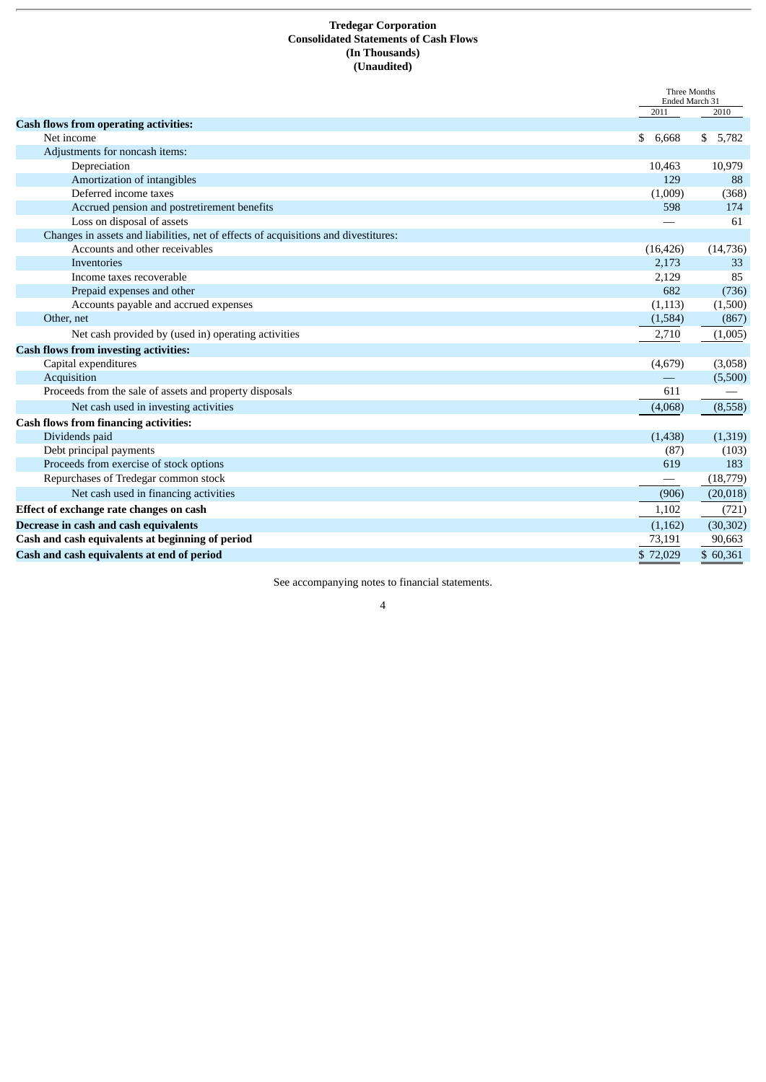## **Tredegar Corporation Consolidated Statements of Cash Flows (In Thousands) (Unaudited)**

|                                                                                     | Three Months<br>Ended March 31 |             |
|-------------------------------------------------------------------------------------|--------------------------------|-------------|
|                                                                                     | 2011                           | 2010        |
| <b>Cash flows from operating activities:</b>                                        |                                |             |
| Net income                                                                          | \$<br>6,668                    | 5,782<br>\$ |
| Adjustments for noncash items:                                                      |                                |             |
| Depreciation                                                                        | 10,463                         | 10,979      |
| Amortization of intangibles                                                         | 129                            | 88          |
| Deferred income taxes                                                               | (1,009)                        | (368)       |
| Accrued pension and postretirement benefits                                         | 598                            | 174         |
| Loss on disposal of assets                                                          |                                | 61          |
| Changes in assets and liabilities, net of effects of acquisitions and divestitures: |                                |             |
| Accounts and other receivables                                                      | (16, 426)                      | (14, 736)   |
| Inventories                                                                         | 2,173                          | 33          |
| Income taxes recoverable                                                            | 2,129                          | 85          |
| Prepaid expenses and other                                                          | 682                            | (736)       |
| Accounts payable and accrued expenses                                               | (1, 113)                       | (1,500)     |
| Other, net                                                                          | (1,584)                        | (867)       |
| Net cash provided by (used in) operating activities                                 | 2,710                          | (1,005)     |
| <b>Cash flows from investing activities:</b>                                        |                                |             |
| Capital expenditures                                                                | (4,679)                        | (3,058)     |
| Acquisition                                                                         |                                | (5,500)     |
| Proceeds from the sale of assets and property disposals                             | 611                            |             |
| Net cash used in investing activities                                               | (4,068)                        | (8,558)     |
| <b>Cash flows from financing activities:</b>                                        |                                |             |
| Dividends paid                                                                      | (1, 438)                       | (1,319)     |
| Debt principal payments                                                             | (87)                           | (103)       |
| Proceeds from exercise of stock options                                             | 619                            | 183         |
| Repurchases of Tredegar common stock                                                | $\qquad \qquad$                | (18,779)    |
| Net cash used in financing activities                                               | (906)                          | (20, 018)   |
| Effect of exchange rate changes on cash                                             | 1,102                          | (721)       |
| Decrease in cash and cash equivalents                                               | (1,162)                        | (30, 302)   |
| Cash and cash equivalents at beginning of period                                    | 73,191                         | 90,663      |
| Cash and cash equivalents at end of period                                          | \$72,029                       | \$60,361    |

See accompanying notes to financial statements.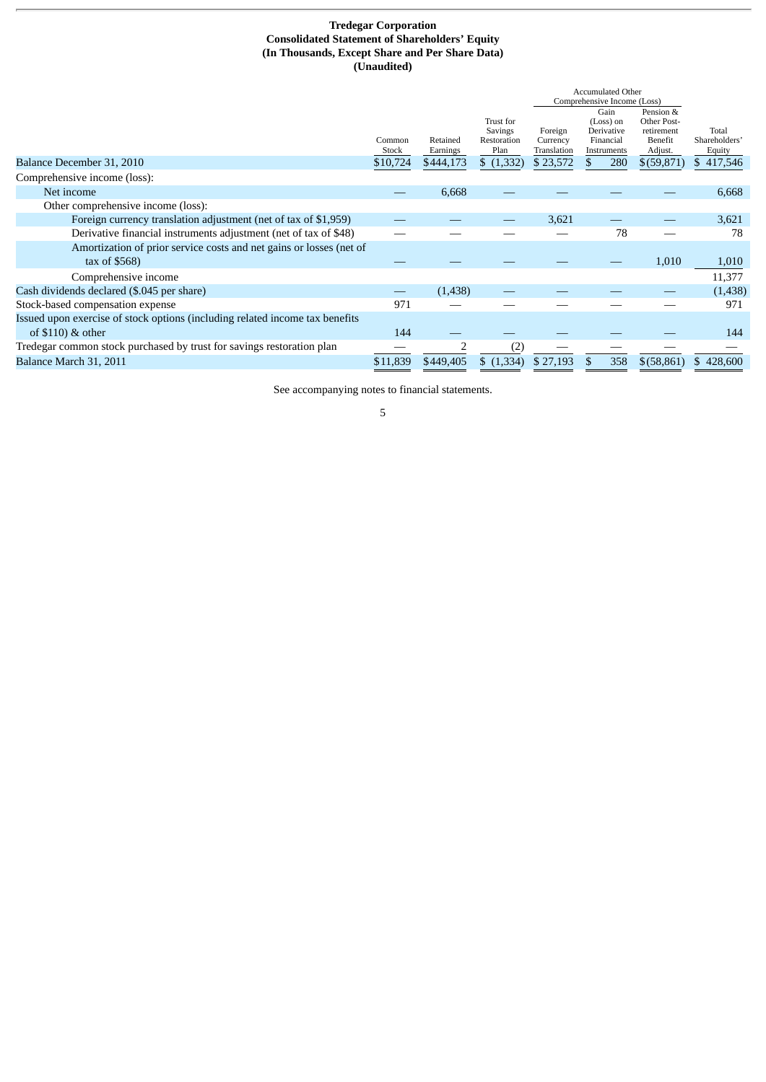# **Tredegar Corporation Consolidated Statement of Shareholders' Equity (In Thousands, Except Share and Per Share Data) (Unaudited)**

|                                                                                                    |                 |                      |                                             | <b>Accumulated Other</b><br>Comprehensive Income (Loss) |                                                               |                                                              |                                  |
|----------------------------------------------------------------------------------------------------|-----------------|----------------------|---------------------------------------------|---------------------------------------------------------|---------------------------------------------------------------|--------------------------------------------------------------|----------------------------------|
|                                                                                                    | Common<br>Stock | Retained<br>Earnings | Trust for<br>Savings<br>Restoration<br>Plan | Foreign<br>Currency<br>Translation                      | Gain<br>$(Loss)$ on<br>Derivative<br>Financial<br>Instruments | Pension &<br>Other Post-<br>retirement<br>Benefit<br>Adjust. | Total<br>Shareholders'<br>Equity |
| Balance December 31, 2010                                                                          | \$10,724        | \$444,173            | \$(1,332)                                   | \$23,572                                                | 280<br>S                                                      | \$ (59, 871)                                                 | 417,546<br>S.                    |
| Comprehensive income (loss):                                                                       |                 |                      |                                             |                                                         |                                                               |                                                              |                                  |
| Net income                                                                                         |                 | 6,668                |                                             |                                                         |                                                               |                                                              | 6,668                            |
| Other comprehensive income (loss):                                                                 |                 |                      |                                             |                                                         |                                                               |                                                              |                                  |
| Foreign currency translation adjustment (net of tax of \$1,959)                                    |                 |                      |                                             | 3,621                                                   |                                                               |                                                              | 3,621                            |
| Derivative financial instruments adjustment (net of tax of \$48)                                   |                 |                      |                                             |                                                         | 78                                                            |                                                              | 78                               |
| Amortization of prior service costs and net gains or losses (net of<br>$\text{tax of } $568)$      |                 |                      |                                             |                                                         |                                                               | 1,010                                                        | 1,010                            |
| Comprehensive income                                                                               |                 |                      |                                             |                                                         |                                                               |                                                              | 11,377                           |
| Cash dividends declared (\$.045 per share)                                                         |                 | (1,438)              |                                             |                                                         |                                                               |                                                              | (1,438)                          |
| Stock-based compensation expense                                                                   | 971             |                      |                                             |                                                         |                                                               |                                                              | 971                              |
| Issued upon exercise of stock options (including related income tax benefits<br>of $$110)$ & other | 144             |                      |                                             |                                                         |                                                               |                                                              | 144                              |
| Tredegar common stock purchased by trust for savings restoration plan                              |                 |                      | (2)                                         |                                                         |                                                               |                                                              |                                  |
| Balance March 31, 2011                                                                             | \$11,839        | \$449,405            | \$(1,334)                                   | \$27,193                                                | 358                                                           | $$$ (58,861)                                                 | \$428,600                        |

See accompanying notes to financial statements.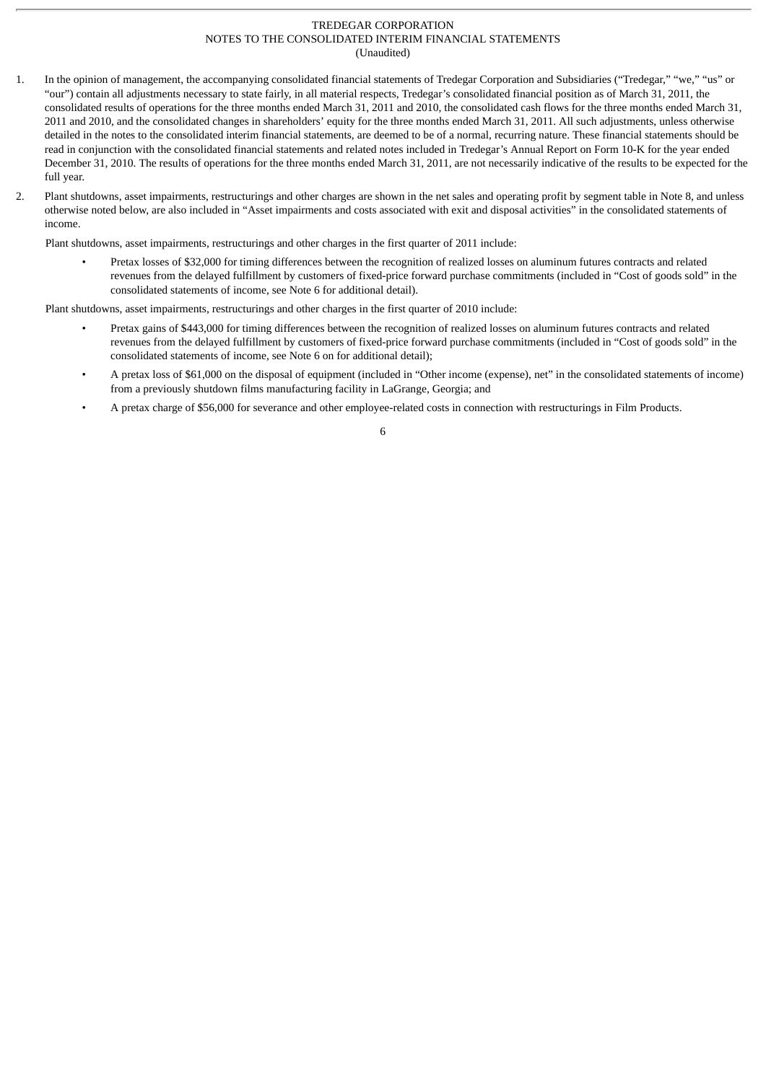#### TREDEGAR CORPORATION NOTES TO THE CONSOLIDATED INTERIM FINANCIAL STATEMENTS (Unaudited)

- 1. In the opinion of management, the accompanying consolidated financial statements of Tredegar Corporation and Subsidiaries ("Tredegar," "we," "us" or "our") contain all adjustments necessary to state fairly, in all material respects, Tredegar's consolidated financial position as of March 31, 2011, the consolidated results of operations for the three months ended March 31, 2011 and 2010, the consolidated cash flows for the three months ended March 31, 2011 and 2010, and the consolidated changes in shareholders' equity for the three months ended March 31, 2011. All such adjustments, unless otherwise detailed in the notes to the consolidated interim financial statements, are deemed to be of a normal, recurring nature. These financial statements should be read in conjunction with the consolidated financial statements and related notes included in Tredegar's Annual Report on Form 10-K for the year ended December 31, 2010. The results of operations for the three months ended March 31, 2011, are not necessarily indicative of the results to be expected for the full year.
- 2. Plant shutdowns, asset impairments, restructurings and other charges are shown in the net sales and operating profit by segment table in Note 8, and unless otherwise noted below, are also included in "Asset impairments and costs associated with exit and disposal activities" in the consolidated statements of income.

Plant shutdowns, asset impairments, restructurings and other charges in the first quarter of 2011 include:

• Pretax losses of \$32,000 for timing differences between the recognition of realized losses on aluminum futures contracts and related revenues from the delayed fulfillment by customers of fixed-price forward purchase commitments (included in "Cost of goods sold" in the consolidated statements of income, see Note 6 for additional detail).

Plant shutdowns, asset impairments, restructurings and other charges in the first quarter of 2010 include:

- Pretax gains of \$443,000 for timing differences between the recognition of realized losses on aluminum futures contracts and related revenues from the delayed fulfillment by customers of fixed-price forward purchase commitments (included in "Cost of goods sold" in the consolidated statements of income, see Note 6 on for additional detail);
- A pretax loss of \$61,000 on the disposal of equipment (included in "Other income (expense), net" in the consolidated statements of income) from a previously shutdown films manufacturing facility in LaGrange, Georgia; and
- A pretax charge of \$56,000 for severance and other employee-related costs in connection with restructurings in Film Products.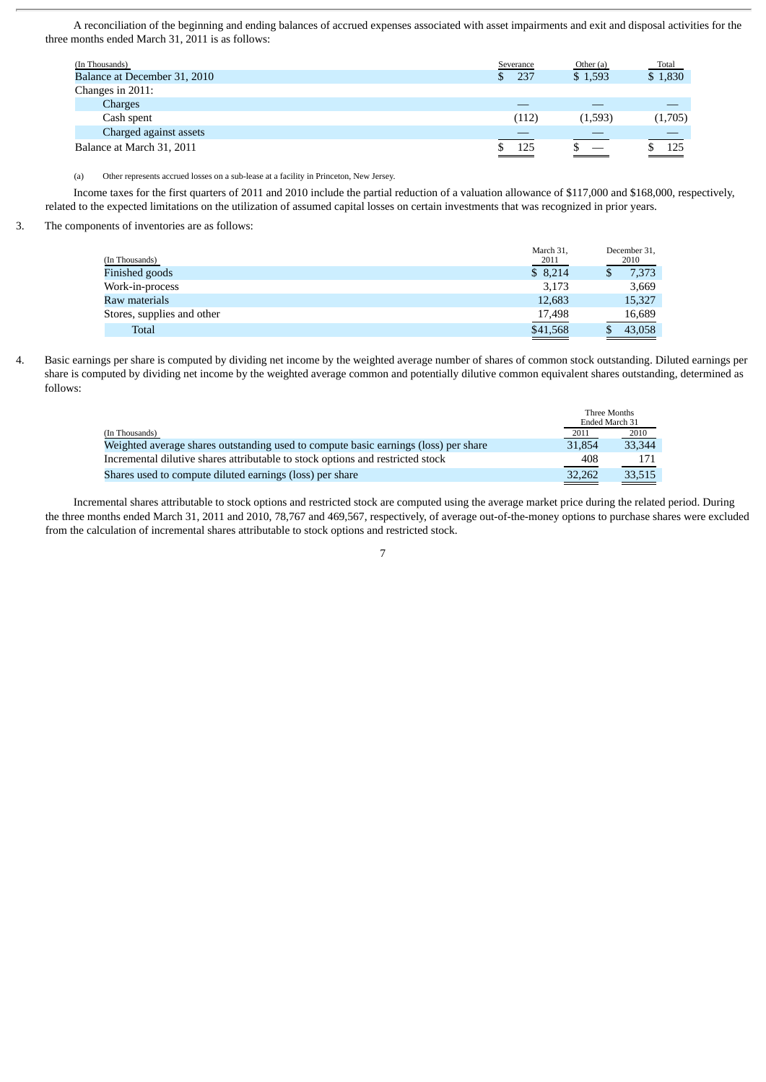A reconciliation of the beginning and ending balances of accrued expenses associated with asset impairments and exit and disposal activities for the three months ended March 31, 2011 is as follows:

| (In Thousands)               | Severance  | Other (a) | <b>Total</b>    |
|------------------------------|------------|-----------|-----------------|
| Balance at December 31, 2010 | 237<br>\$. | \$1,593   | \$1,830         |
| Changes in 2011:             |            |           |                 |
| Charges                      |            |           |                 |
| Cash spent                   | (112)      | (1,593)   | (1,705)         |
| Charged against assets       |            |           |                 |
| Balance at March 31, 2011    | 125        |           | 125<br>$\equiv$ |

(a) Other represents accrued losses on a sub-lease at a facility in Princeton, New Jersey.

Income taxes for the first quarters of 2011 and 2010 include the partial reduction of a valuation allowance of \$117,000 and \$168,000, respectively, related to the expected limitations on the utilization of assumed capital losses on certain investments that was recognized in prior years.

#### 3. The components of inventories are as follows:

| (In Thousands)             | March 31,<br>2011 | December 31,<br>2010 |
|----------------------------|-------------------|----------------------|
| Finished goods             | \$8,214           | 7,373                |
| Work-in-process            | 3,173             | 3,669                |
| Raw materials              | 12,683            | 15,327               |
| Stores, supplies and other | 17,498            | 16,689               |
| Total                      | \$41,568          | 43,058               |

4. Basic earnings per share is computed by dividing net income by the weighted average number of shares of common stock outstanding. Diluted earnings per share is computed by dividing net income by the weighted average common and potentially dilutive common equivalent shares outstanding, determined as follows:

|                                                                                     |        | Three Months<br>Ended March 31 |
|-------------------------------------------------------------------------------------|--------|--------------------------------|
| (In Thousands)                                                                      | 2011   | 2010                           |
| Weighted average shares outstanding used to compute basic earnings (loss) per share | 31,854 | 33.344                         |
| Incremental dilutive shares attributable to stock options and restricted stock      | 408    | 171                            |
| Shares used to compute diluted earnings (loss) per share                            | 32.262 | 33,515                         |

Incremental shares attributable to stock options and restricted stock are computed using the average market price during the related period. During the three months ended March 31, 2011 and 2010, 78,767 and 469,567, respectively, of average out-of-the-money options to purchase shares were excluded from the calculation of incremental shares attributable to stock options and restricted stock.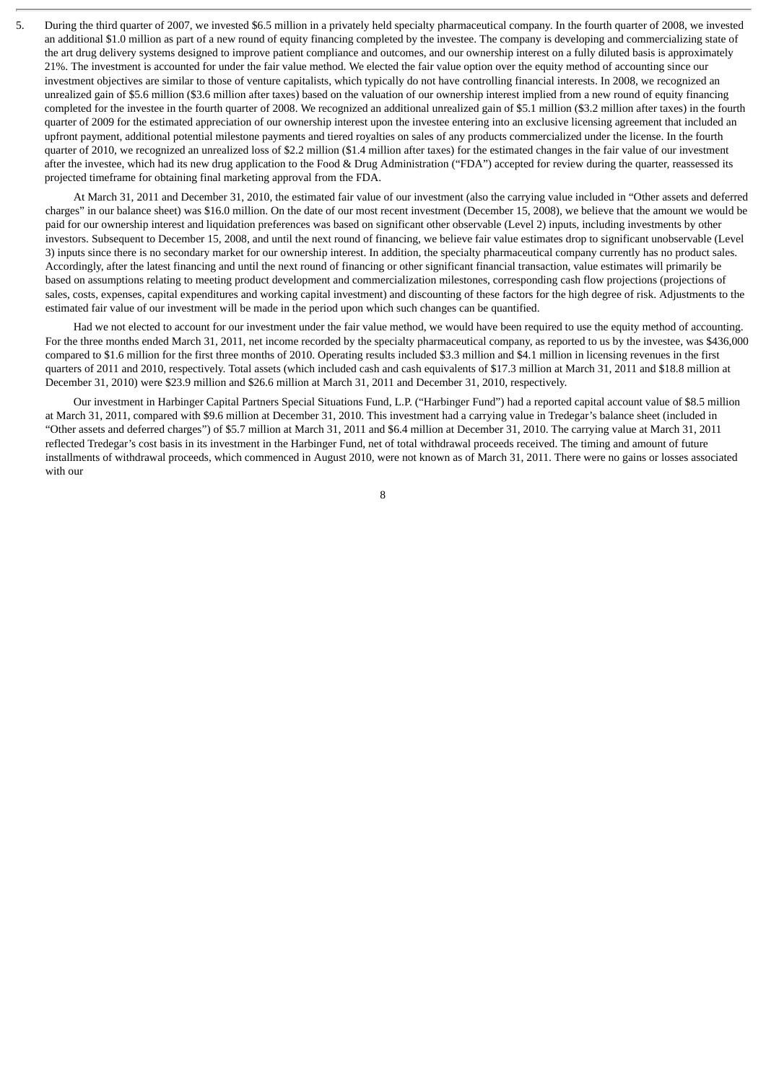5. During the third quarter of 2007, we invested \$6.5 million in a privately held specialty pharmaceutical company. In the fourth quarter of 2008, we invested an additional \$1.0 million as part of a new round of equity financing completed by the investee. The company is developing and commercializing state of the art drug delivery systems designed to improve patient compliance and outcomes, and our ownership interest on a fully diluted basis is approximately 21%. The investment is accounted for under the fair value method. We elected the fair value option over the equity method of accounting since our investment objectives are similar to those of venture capitalists, which typically do not have controlling financial interests. In 2008, we recognized an unrealized gain of \$5.6 million (\$3.6 million after taxes) based on the valuation of our ownership interest implied from a new round of equity financing completed for the investee in the fourth quarter of 2008. We recognized an additional unrealized gain of \$5.1 million (\$3.2 million after taxes) in the fourth quarter of 2009 for the estimated appreciation of our ownership interest upon the investee entering into an exclusive licensing agreement that included an upfront payment, additional potential milestone payments and tiered royalties on sales of any products commercialized under the license. In the fourth quarter of 2010, we recognized an unrealized loss of \$2.2 million (\$1.4 million after taxes) for the estimated changes in the fair value of our investment after the investee, which had its new drug application to the Food & Drug Administration ("FDA") accepted for review during the quarter, reassessed its projected timeframe for obtaining final marketing approval from the FDA.

At March 31, 2011 and December 31, 2010, the estimated fair value of our investment (also the carrying value included in "Other assets and deferred charges" in our balance sheet) was \$16.0 million. On the date of our most recent investment (December 15, 2008), we believe that the amount we would be paid for our ownership interest and liquidation preferences was based on significant other observable (Level 2) inputs, including investments by other investors. Subsequent to December 15, 2008, and until the next round of financing, we believe fair value estimates drop to significant unobservable (Level 3) inputs since there is no secondary market for our ownership interest. In addition, the specialty pharmaceutical company currently has no product sales. Accordingly, after the latest financing and until the next round of financing or other significant financial transaction, value estimates will primarily be based on assumptions relating to meeting product development and commercialization milestones, corresponding cash flow projections (projections of sales, costs, expenses, capital expenditures and working capital investment) and discounting of these factors for the high degree of risk. Adjustments to the estimated fair value of our investment will be made in the period upon which such changes can be quantified.

Had we not elected to account for our investment under the fair value method, we would have been required to use the equity method of accounting. For the three months ended March 31, 2011, net income recorded by the specialty pharmaceutical company, as reported to us by the investee, was \$436,000 compared to \$1.6 million for the first three months of 2010. Operating results included \$3.3 million and \$4.1 million in licensing revenues in the first quarters of 2011 and 2010, respectively. Total assets (which included cash and cash equivalents of \$17.3 million at March 31, 2011 and \$18.8 million at December 31, 2010) were \$23.9 million and \$26.6 million at March 31, 2011 and December 31, 2010, respectively.

Our investment in Harbinger Capital Partners Special Situations Fund, L.P. ("Harbinger Fund") had a reported capital account value of \$8.5 million at March 31, 2011, compared with \$9.6 million at December 31, 2010. This investment had a carrying value in Tredegar's balance sheet (included in "Other assets and deferred charges") of \$5.7 million at March 31, 2011 and \$6.4 million at December 31, 2010. The carrying value at March 31, 2011 reflected Tredegar's cost basis in its investment in the Harbinger Fund, net of total withdrawal proceeds received. The timing and amount of future installments of withdrawal proceeds, which commenced in August 2010, were not known as of March 31, 2011. There were no gains or losses associated with our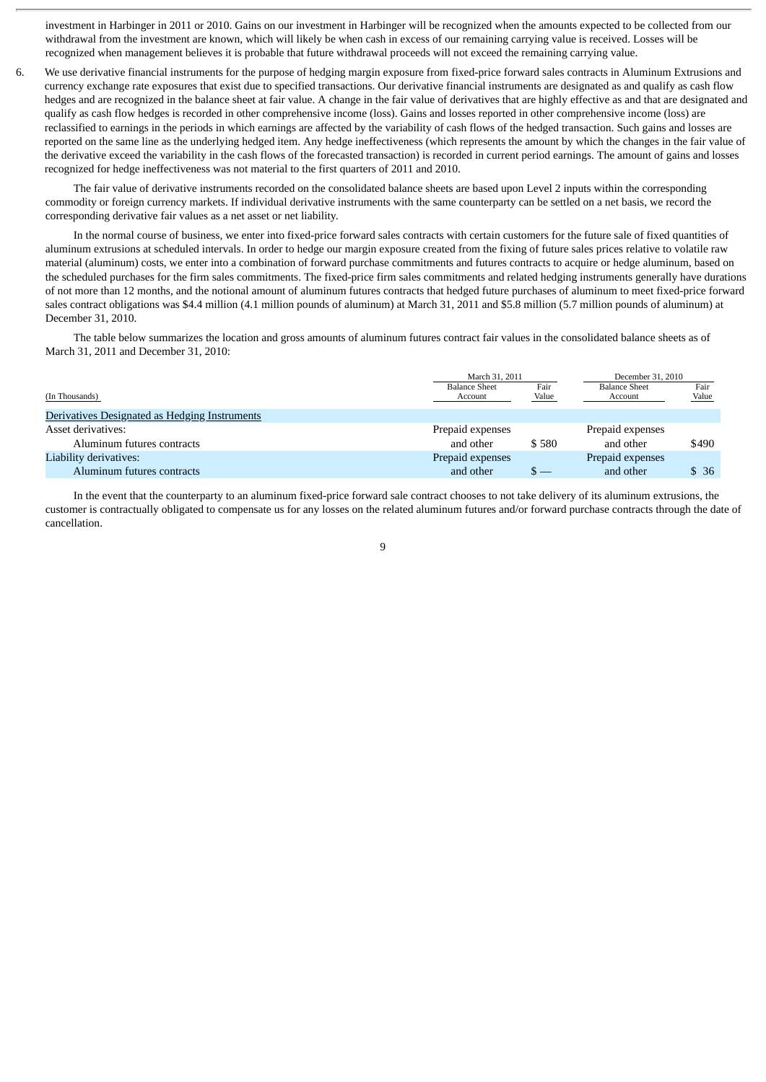investment in Harbinger in 2011 or 2010. Gains on our investment in Harbinger will be recognized when the amounts expected to be collected from our withdrawal from the investment are known, which will likely be when cash in excess of our remaining carrying value is received. Losses will be recognized when management believes it is probable that future withdrawal proceeds will not exceed the remaining carrying value.

6. We use derivative financial instruments for the purpose of hedging margin exposure from fixed-price forward sales contracts in Aluminum Extrusions and currency exchange rate exposures that exist due to specified transactions. Our derivative financial instruments are designated as and qualify as cash flow hedges and are recognized in the balance sheet at fair value. A change in the fair value of derivatives that are highly effective as and that are designated and qualify as cash flow hedges is recorded in other comprehensive income (loss). Gains and losses reported in other comprehensive income (loss) are reclassified to earnings in the periods in which earnings are affected by the variability of cash flows of the hedged transaction. Such gains and losses are reported on the same line as the underlying hedged item. Any hedge ineffectiveness (which represents the amount by which the changes in the fair value of the derivative exceed the variability in the cash flows of the forecasted transaction) is recorded in current period earnings. The amount of gains and losses recognized for hedge ineffectiveness was not material to the first quarters of 2011 and 2010.

The fair value of derivative instruments recorded on the consolidated balance sheets are based upon Level 2 inputs within the corresponding commodity or foreign currency markets. If individual derivative instruments with the same counterparty can be settled on a net basis, we record the corresponding derivative fair values as a net asset or net liability.

In the normal course of business, we enter into fixed-price forward sales contracts with certain customers for the future sale of fixed quantities of aluminum extrusions at scheduled intervals. In order to hedge our margin exposure created from the fixing of future sales prices relative to volatile raw material (aluminum) costs, we enter into a combination of forward purchase commitments and futures contracts to acquire or hedge aluminum, based on the scheduled purchases for the firm sales commitments. The fixed-price firm sales commitments and related hedging instruments generally have durations of not more than 12 months, and the notional amount of aluminum futures contracts that hedged future purchases of aluminum to meet fixed-price forward sales contract obligations was \$4.4 million (4.1 million pounds of aluminum) at March 31, 2011 and \$5.8 million (5.7 million pounds of aluminum) at December 31, 2010.

The table below summarizes the location and gross amounts of aluminum futures contract fair values in the consolidated balance sheets as of March 31, 2011 and December 31, 2010:

|                                               | March 31, 2011                  |               | December 31, 2010               |               |
|-----------------------------------------------|---------------------------------|---------------|---------------------------------|---------------|
| (In Thousands)                                | <b>Balance Sheet</b><br>Account | Fair<br>Value | <b>Balance Sheet</b><br>Account | Fair<br>Value |
| Derivatives Designated as Hedging Instruments |                                 |               |                                 |               |
| Asset derivatives:                            | Prepaid expenses                |               | Prepaid expenses                |               |
| Aluminum futures contracts                    | and other                       | \$580         | and other                       | \$490         |
| Liability derivatives:                        | Prepaid expenses                |               | Prepaid expenses                |               |
| Aluminum futures contracts                    | and other                       |               | and other                       | \$36          |

In the event that the counterparty to an aluminum fixed-price forward sale contract chooses to not take delivery of its aluminum extrusions, the customer is contractually obligated to compensate us for any losses on the related aluminum futures and/or forward purchase contracts through the date of cancellation.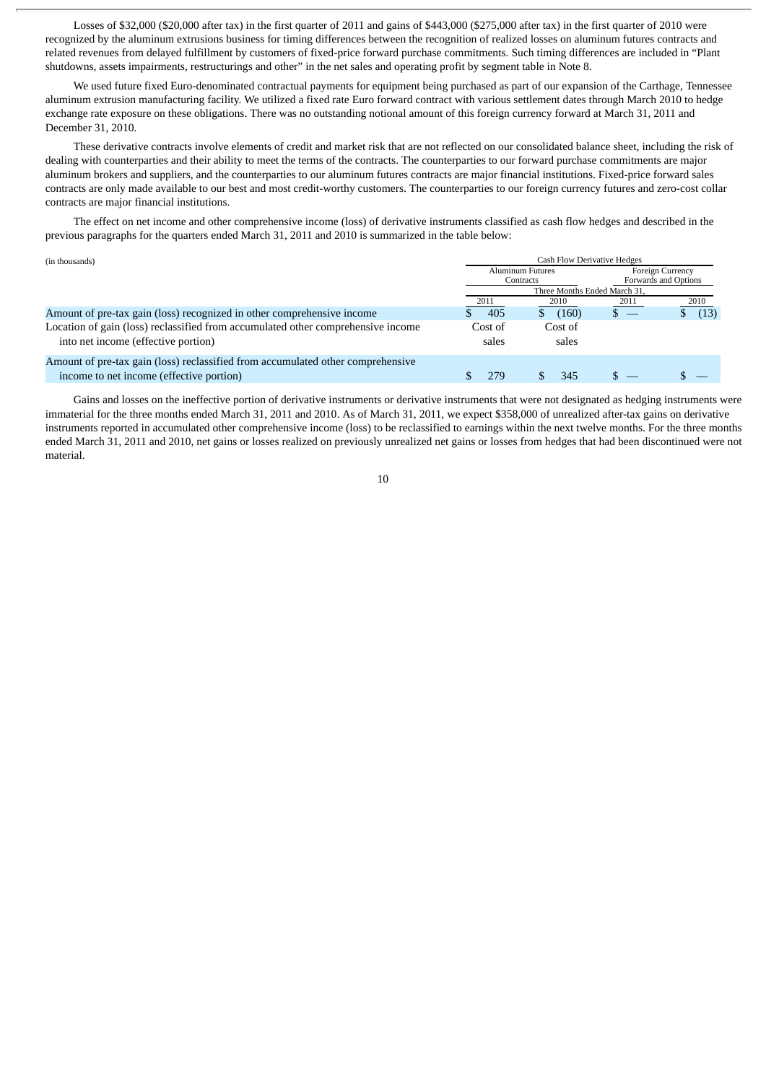Losses of \$32,000 (\$20,000 after tax) in the first quarter of 2011 and gains of \$443,000 (\$275,000 after tax) in the first quarter of 2010 were recognized by the aluminum extrusions business for timing differences between the recognition of realized losses on aluminum futures contracts and related revenues from delayed fulfillment by customers of fixed-price forward purchase commitments. Such timing differences are included in "Plant shutdowns, assets impairments, restructurings and other" in the net sales and operating profit by segment table in Note 8.

We used future fixed Euro-denominated contractual payments for equipment being purchased as part of our expansion of the Carthage, Tennessee aluminum extrusion manufacturing facility. We utilized a fixed rate Euro forward contract with various settlement dates through March 2010 to hedge exchange rate exposure on these obligations. There was no outstanding notional amount of this foreign currency forward at March 31, 2011 and December 31, 2010.

These derivative contracts involve elements of credit and market risk that are not reflected on our consolidated balance sheet, including the risk of dealing with counterparties and their ability to meet the terms of the contracts. The counterparties to our forward purchase commitments are major aluminum brokers and suppliers, and the counterparties to our aluminum futures contracts are major financial institutions. Fixed-price forward sales contracts are only made available to our best and most credit-worthy customers. The counterparties to our foreign currency futures and zero-cost collar contracts are major financial institutions.

The effect on net income and other comprehensive income (loss) of derivative instruments classified as cash flow hedges and described in the previous paragraphs for the quarters ended March 31, 2011 and 2010 is summarized in the table below:

| (in thousands)                                                                   | <b>Cash Flow Derivative Hedges</b> |                              |       |                      |
|----------------------------------------------------------------------------------|------------------------------------|------------------------------|-------|----------------------|
|                                                                                  |                                    | <b>Aluminum Futures</b>      |       | Foreign Currency     |
|                                                                                  | Contracts                          |                              |       | Forwards and Options |
|                                                                                  |                                    | Three Months Ended March 31. |       |                      |
|                                                                                  | 2011                               | 2010                         | 2011  | 2010                 |
| Amount of pre-tax gain (loss) recognized in other comprehensive income           | 405                                | (160)                        | $s =$ | (13)                 |
| Location of gain (loss) reclassified from accumulated other comprehensive income | Cost of                            | Cost of                      |       |                      |
| into net income (effective portion)                                              | sales                              | sales                        |       |                      |
| Amount of pre-tax gain (loss) reclassified from accumulated other comprehensive  |                                    |                              |       |                      |
| income to net income (effective portion)                                         | 279                                | 345                          |       |                      |

Gains and losses on the ineffective portion of derivative instruments or derivative instruments that were not designated as hedging instruments were immaterial for the three months ended March 31, 2011 and 2010. As of March 31, 2011, we expect \$358,000 of unrealized after-tax gains on derivative instruments reported in accumulated other comprehensive income (loss) to be reclassified to earnings within the next twelve months. For the three months ended March 31, 2011 and 2010, net gains or losses realized on previously unrealized net gains or losses from hedges that had been discontinued were not material.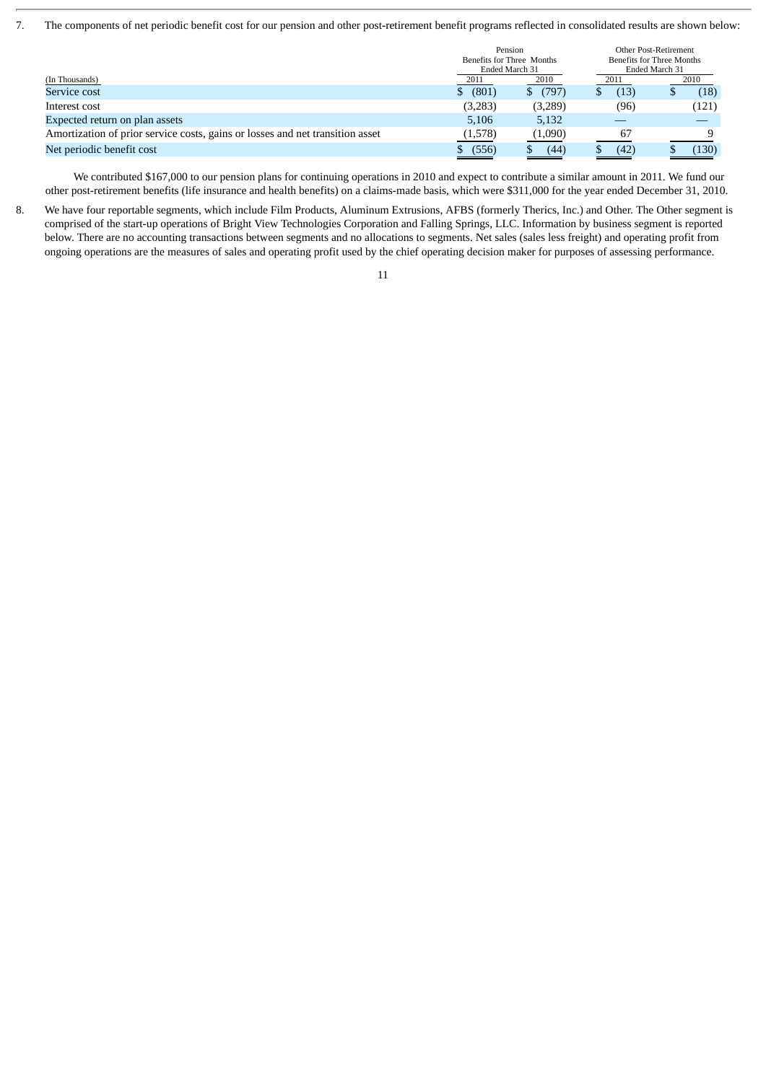7. The components of net periodic benefit cost for our pension and other post-retirement benefit programs reflected in consolidated results are shown below:

|                                                                               | Pension<br>Benefits for Three Months<br>Ended March 31 |         | Other Post-Retirement<br>Benefits for Three Months<br>Ended March 31 |       |
|-------------------------------------------------------------------------------|--------------------------------------------------------|---------|----------------------------------------------------------------------|-------|
| (In Thousands)                                                                | 2011                                                   | 2010    | 2011                                                                 | 2010  |
| Service cost                                                                  | (801)<br>S.                                            | (797)   | (13)                                                                 | (18)  |
| Interest cost                                                                 | (3,283)                                                | (3,289) | (96)                                                                 | (121) |
| Expected return on plan assets                                                | 5,106                                                  | 5,132   |                                                                      |       |
| Amortization of prior service costs, gains or losses and net transition asset | (1,578)                                                | (1,090) | 67                                                                   |       |
| Net periodic benefit cost                                                     | (556)                                                  | (44)    | (42)                                                                 | (130) |

We contributed \$167,000 to our pension plans for continuing operations in 2010 and expect to contribute a similar amount in 2011. We fund our other post-retirement benefits (life insurance and health benefits) on a claims-made basis, which were \$311,000 for the year ended December 31, 2010.

8. We have four reportable segments, which include Film Products, Aluminum Extrusions, AFBS (formerly Therics, Inc.) and Other. The Other segment is comprised of the start-up operations of Bright View Technologies Corporation and Falling Springs, LLC. Information by business segment is reported below. There are no accounting transactions between segments and no allocations to segments. Net sales (sales less freight) and operating profit from ongoing operations are the measures of sales and operating profit used by the chief operating decision maker for purposes of assessing performance.

<sup>11</sup>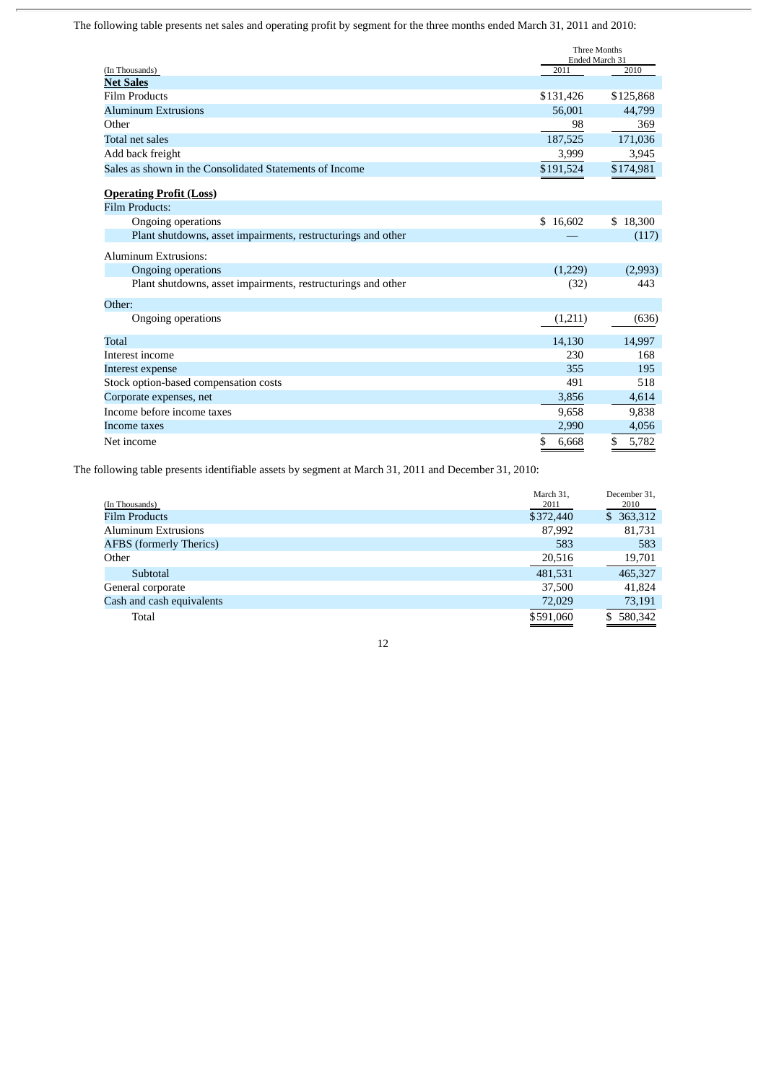The following table presents net sales and operating profit by segment for the three months ended March 31, 2011 and 2010:

|                                                              | Three Months<br>Ended March 31 |             |
|--------------------------------------------------------------|--------------------------------|-------------|
| (In Thousands)                                               | 2011                           | 2010        |
| <b>Net Sales</b>                                             |                                |             |
| Film Products                                                | \$131,426                      | \$125,868   |
| <b>Aluminum Extrusions</b>                                   | 56,001                         | 44,799      |
| Other                                                        | 98                             | 369         |
| Total net sales                                              | 187,525                        | 171.036     |
| Add back freight                                             | 3,999                          | 3,945       |
| Sales as shown in the Consolidated Statements of Income      | \$191,524                      | \$174,981   |
|                                                              |                                |             |
| <b>Operating Profit (Loss)</b>                               |                                |             |
| Film Products:                                               |                                |             |
| Ongoing operations                                           | \$16,602                       | \$18,300    |
| Plant shutdowns, asset impairments, restructurings and other |                                | (117)       |
| Aluminum Extrusions:                                         |                                |             |
| <b>Ongoing operations</b>                                    | (1,229)                        | (2,993)     |
| Plant shutdowns, asset impairments, restructurings and other | (32)                           | 443         |
| Other:                                                       |                                |             |
| Ongoing operations                                           | (1,211)                        | (636)       |
| Total                                                        | 14,130                         | 14,997      |
| Interest income                                              | 230                            | 168         |
| Interest expense                                             | 355                            | 195         |
| Stock option-based compensation costs                        | 491                            | 518         |
| Corporate expenses, net                                      | 3,856                          | 4,614       |
| Income before income taxes                                   | 9.658                          | 9,838       |
| Income taxes                                                 | 2,990                          | 4,056       |
| Net income                                                   | \$<br>6,668                    | \$<br>5,782 |

The following table presents identifiable assets by segment at March 31, 2011 and December 31, 2010:

| (In Thousands)            | March 31,<br>2011 | December 31,<br>2010 |
|---------------------------|-------------------|----------------------|
| <b>Film Products</b>      | \$372,440         | \$ 363,312           |
| Aluminum Extrusions       | 87,992            | 81,731               |
| AFBS (formerly Therics)   | 583               | 583                  |
| Other                     | 20,516            | 19,701               |
| Subtotal                  | 481,531           | 465,327              |
| General corporate         | 37,500            | 41,824               |
| Cash and cash equivalents | 72,029            | 73,191               |
| Total                     | \$591,060         | 580,342<br>S.        |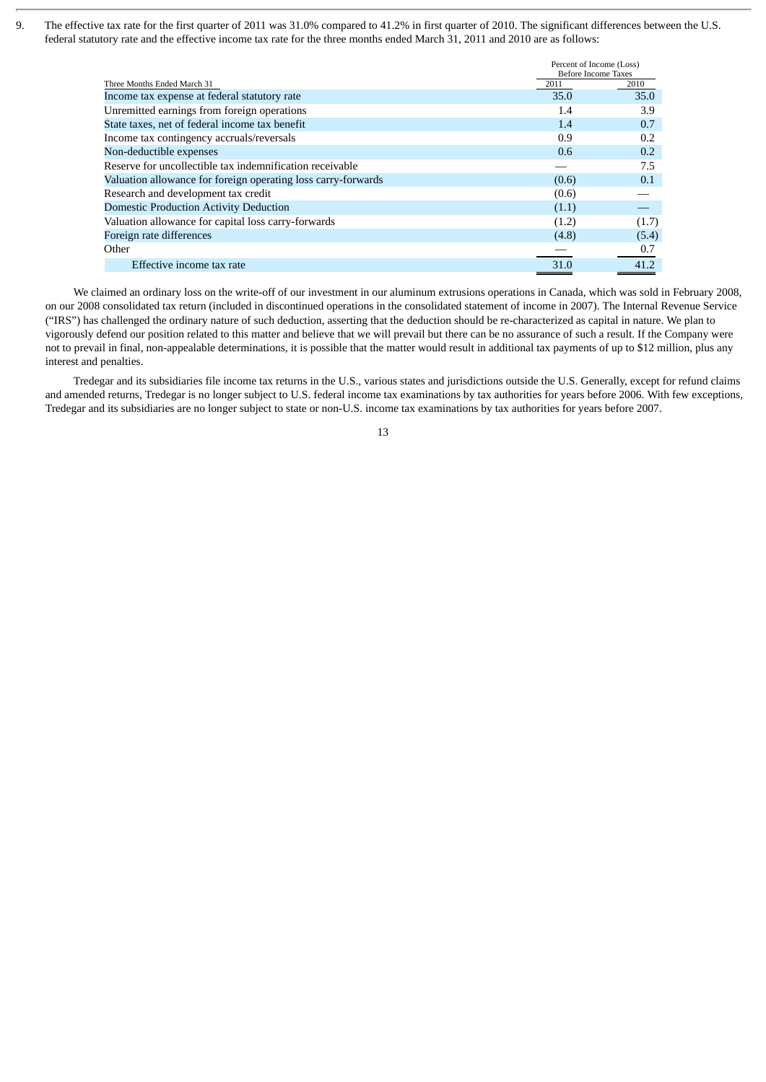9. The effective tax rate for the first quarter of 2011 was 31.0% compared to 41.2% in first quarter of 2010. The significant differences between the U.S. federal statutory rate and the effective income tax rate for the three months ended March 31, 2011 and 2010 are as follows:

|                                                               |       | Percent of Income (Loss)<br><b>Before Income Taxes</b> |  |
|---------------------------------------------------------------|-------|--------------------------------------------------------|--|
| Three Months Ended March 31                                   | 2011  | 2010                                                   |  |
| Income tax expense at federal statutory rate                  | 35.0  | 35.0                                                   |  |
| Unremitted earnings from foreign operations                   | 1.4   | 3.9                                                    |  |
| State taxes, net of federal income tax benefit                | 1.4   | 0.7                                                    |  |
| Income tax contingency accruals/reversals                     | 0.9   | 0.2                                                    |  |
| Non-deductible expenses                                       | 0.6   | 0.2                                                    |  |
| Reserve for uncollectible tax indemnification receivable      |       | 7.5                                                    |  |
| Valuation allowance for foreign operating loss carry-forwards | (0.6) | 0.1                                                    |  |
| Research and development tax credit                           | (0.6) |                                                        |  |
| <b>Domestic Production Activity Deduction</b>                 | (1.1) |                                                        |  |
| Valuation allowance for capital loss carry-forwards           | (1.2) | (1.7)                                                  |  |
| Foreign rate differences                                      | (4.8) | (5.4)                                                  |  |
| Other                                                         |       | 0.7                                                    |  |
| Effective income tax rate                                     | 31.0  | 41.2                                                   |  |
|                                                               |       |                                                        |  |

We claimed an ordinary loss on the write-off of our investment in our aluminum extrusions operations in Canada, which was sold in February 2008, on our 2008 consolidated tax return (included in discontinued operations in the consolidated statement of income in 2007). The Internal Revenue Service ("IRS") has challenged the ordinary nature of such deduction, asserting that the deduction should be re-characterized as capital in nature. We plan to vigorously defend our position related to this matter and believe that we will prevail but there can be no assurance of such a result. If the Company were not to prevail in final, non-appealable determinations, it is possible that the matter would result in additional tax payments of up to \$12 million, plus any interest and penalties.

Tredegar and its subsidiaries file income tax returns in the U.S., various states and jurisdictions outside the U.S. Generally, except for refund claims and amended returns, Tredegar is no longer subject to U.S. federal income tax examinations by tax authorities for years before 2006. With few exceptions, Tredegar and its subsidiaries are no longer subject to state or non-U.S. income tax examinations by tax authorities for years before 2007.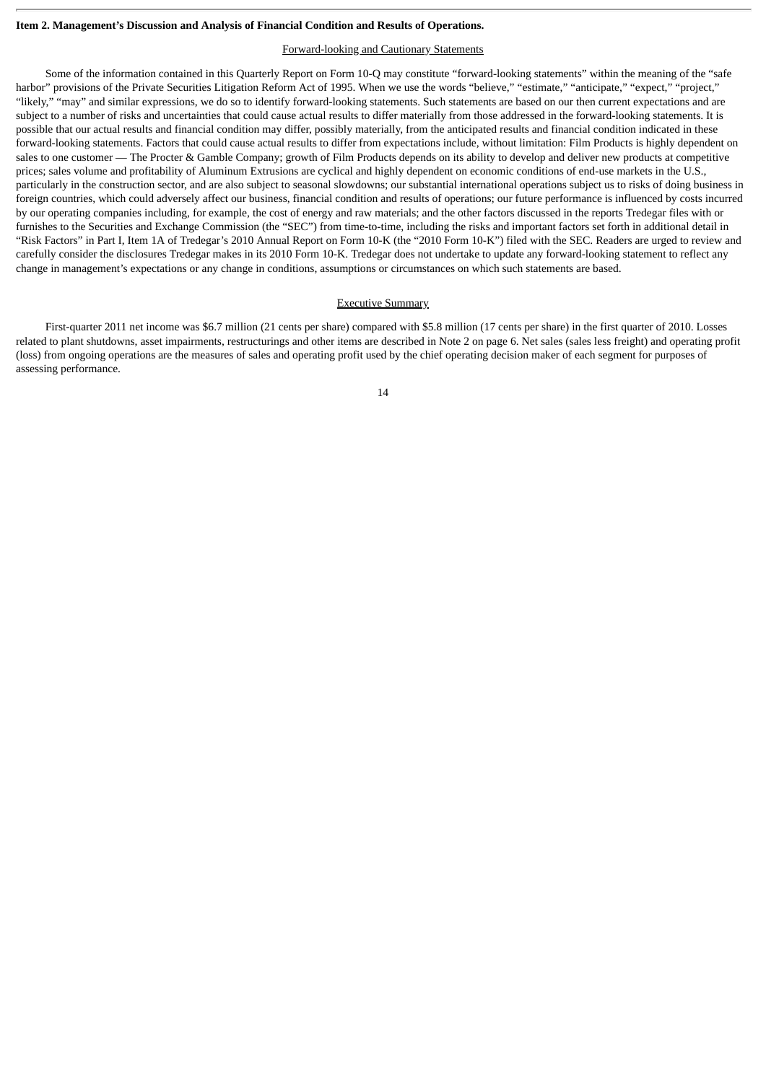#### **Item 2. Management's Discussion and Analysis of Financial Condition and Results of Operations.**

#### Forward-looking and Cautionary Statements

Some of the information contained in this Quarterly Report on Form 10-Q may constitute "forward-looking statements" within the meaning of the "safe harbor" provisions of the Private Securities Litigation Reform Act of 1995. When we use the words "believe," "estimate," "anticipate," "expect," "project," "likely," "may" and similar expressions, we do so to identify forward-looking statements. Such statements are based on our then current expectations and are subject to a number of risks and uncertainties that could cause actual results to differ materially from those addressed in the forward-looking statements. It is possible that our actual results and financial condition may differ, possibly materially, from the anticipated results and financial condition indicated in these forward-looking statements. Factors that could cause actual results to differ from expectations include, without limitation: Film Products is highly dependent on sales to one customer — The Procter & Gamble Company; growth of Film Products depends on its ability to develop and deliver new products at competitive prices; sales volume and profitability of Aluminum Extrusions are cyclical and highly dependent on economic conditions of end-use markets in the U.S., particularly in the construction sector, and are also subject to seasonal slowdowns; our substantial international operations subject us to risks of doing business in foreign countries, which could adversely affect our business, financial condition and results of operations; our future performance is influenced by costs incurred by our operating companies including, for example, the cost of energy and raw materials; and the other factors discussed in the reports Tredegar files with or furnishes to the Securities and Exchange Commission (the "SEC") from time-to-time, including the risks and important factors set forth in additional detail in "Risk Factors" in Part I, Item 1A of Tredegar's 2010 Annual Report on Form 10-K (the "2010 Form 10-K") filed with the SEC. Readers are urged to review and carefully consider the disclosures Tredegar makes in its 2010 Form 10-K. Tredegar does not undertake to update any forward-looking statement to reflect any change in management's expectations or any change in conditions, assumptions or circumstances on which such statements are based.

#### Executive Summary

First-quarter 2011 net income was \$6.7 million (21 cents per share) compared with \$5.8 million (17 cents per share) in the first quarter of 2010. Losses related to plant shutdowns, asset impairments, restructurings and other items are described in Note 2 on page 6. Net sales (sales less freight) and operating profit (loss) from ongoing operations are the measures of sales and operating profit used by the chief operating decision maker of each segment for purposes of assessing performance.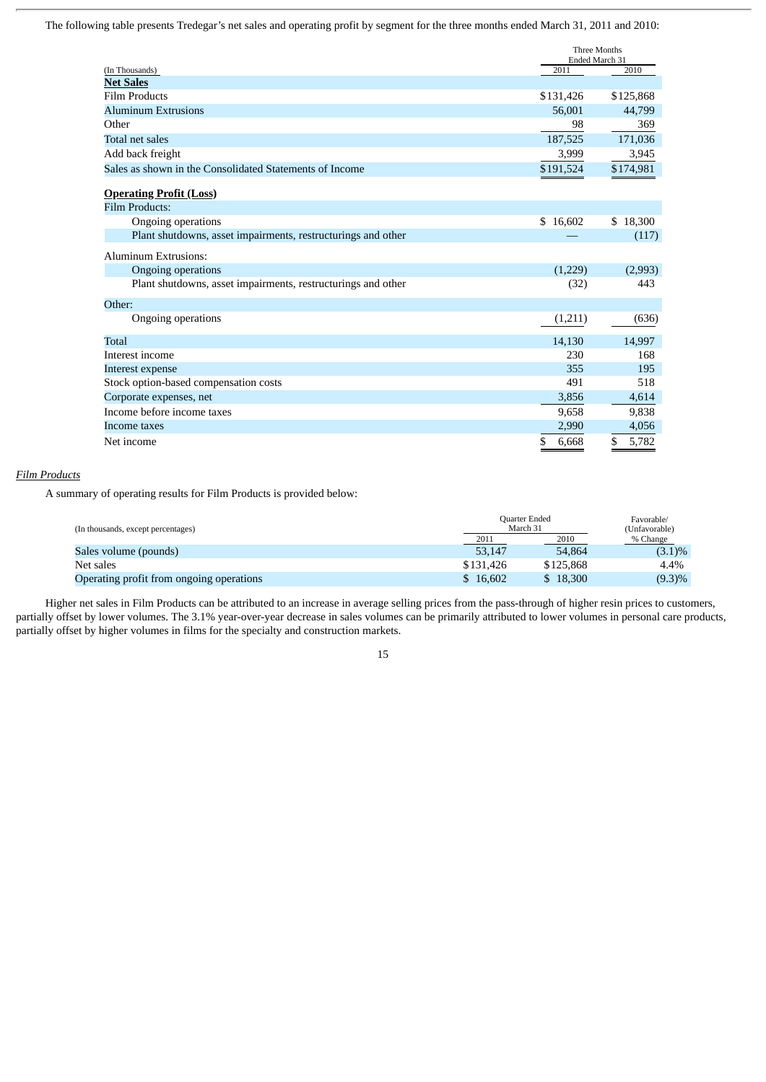The following table presents Tredegar's net sales and operating profit by segment for the three months ended March 31, 2011 and 2010:

|                                                              |             | Three Months<br>Ended March 31 |  |
|--------------------------------------------------------------|-------------|--------------------------------|--|
| (In Thousands)                                               | 2011        | 2010                           |  |
| <b>Net Sales</b>                                             |             |                                |  |
| <b>Film Products</b>                                         | \$131,426   | \$125,868                      |  |
| <b>Aluminum Extrusions</b>                                   | 56,001      | 44.799                         |  |
| Other                                                        | 98          | 369                            |  |
| Total net sales                                              | 187,525     | 171,036                        |  |
| Add back freight                                             | 3,999       | 3,945                          |  |
| Sales as shown in the Consolidated Statements of Income      | \$191,524   | \$174,981                      |  |
| <b>Operating Profit (Loss)</b>                               |             |                                |  |
| Film Products:                                               |             |                                |  |
| Ongoing operations                                           | \$16,602    | \$18,300                       |  |
| Plant shutdowns, asset impairments, restructurings and other |             | (117)                          |  |
| Aluminum Extrusions:                                         |             |                                |  |
| <b>Ongoing operations</b>                                    | (1,229)     | (2,993)                        |  |
| Plant shutdowns, asset impairments, restructurings and other | (32)        | 443                            |  |
| Other:                                                       |             |                                |  |
| Ongoing operations                                           | (1,211)     | (636)                          |  |
| Total                                                        | 14,130      | 14,997                         |  |
| Interest income                                              | 230         | 168                            |  |
| Interest expense                                             | 355         | 195                            |  |
| Stock option-based compensation costs                        | 491         | 518                            |  |
| Corporate expenses, net                                      | 3,856       | 4,614                          |  |
| Income before income taxes                                   | 9,658       | 9,838                          |  |
| Income taxes                                                 | 2,990       | 4,056                          |  |
| Net income                                                   | \$<br>6,668 | 5,782<br>\$                    |  |

# *Film Products*

A summary of operating results for Film Products is provided below:

| (In thousands, except percentages)       |           | Ouarter Ended<br>March 31 |           |
|------------------------------------------|-----------|---------------------------|-----------|
|                                          | 2011      | 2010                      | % Change  |
| Sales volume (pounds)                    | 53.147    | 54.864                    | $(3.1)\%$ |
| Net sales                                | \$131.426 | \$125,868                 | 4.4%      |
| Operating profit from ongoing operations | \$16,602  | \$18,300                  | $(9.3)\%$ |

Higher net sales in Film Products can be attributed to an increase in average selling prices from the pass-through of higher resin prices to customers, partially offset by lower volumes. The 3.1% year-over-year decrease in sales volumes can be primarily attributed to lower volumes in personal care products, partially offset by higher volumes in films for the specialty and construction markets.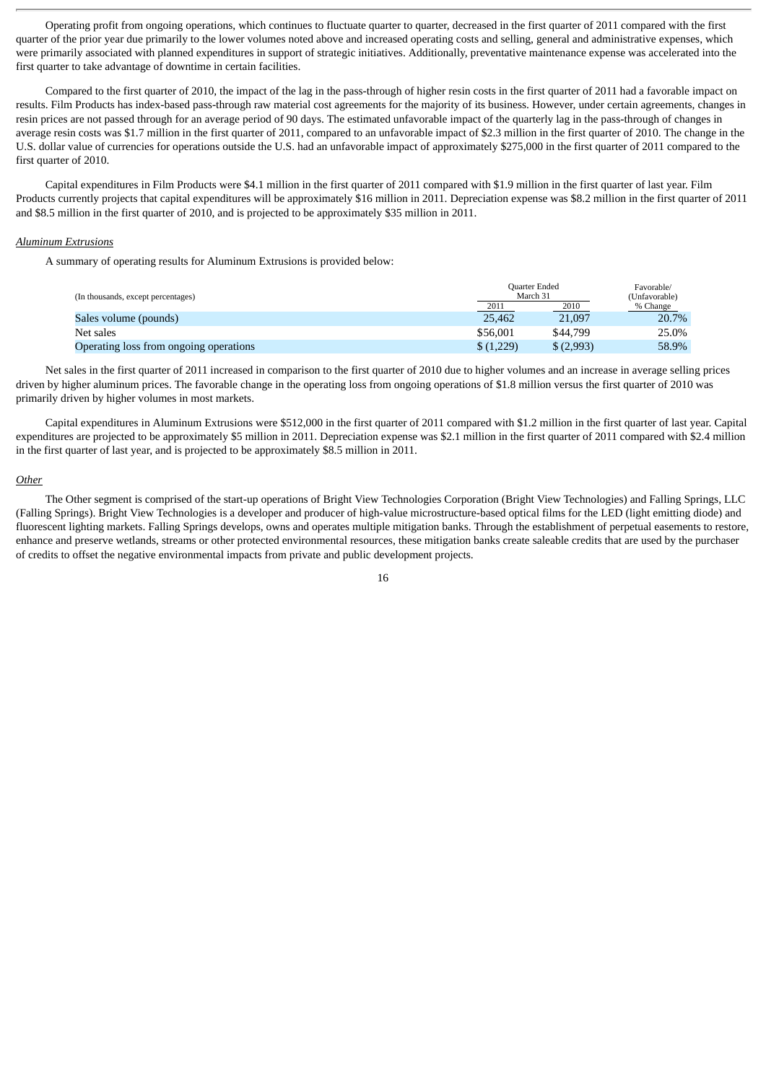Operating profit from ongoing operations, which continues to fluctuate quarter to quarter, decreased in the first quarter of 2011 compared with the first quarter of the prior year due primarily to the lower volumes noted above and increased operating costs and selling, general and administrative expenses, which were primarily associated with planned expenditures in support of strategic initiatives. Additionally, preventative maintenance expense was accelerated into the first quarter to take advantage of downtime in certain facilities.

Compared to the first quarter of 2010, the impact of the lag in the pass-through of higher resin costs in the first quarter of 2011 had a favorable impact on results. Film Products has index-based pass-through raw material cost agreements for the majority of its business. However, under certain agreements, changes in resin prices are not passed through for an average period of 90 days. The estimated unfavorable impact of the quarterly lag in the pass-through of changes in average resin costs was \$1.7 million in the first quarter of 2011, compared to an unfavorable impact of \$2.3 million in the first quarter of 2010. The change in the U.S. dollar value of currencies for operations outside the U.S. had an unfavorable impact of approximately \$275,000 in the first quarter of 2011 compared to the first quarter of 2010.

Capital expenditures in Film Products were \$4.1 million in the first quarter of 2011 compared with \$1.9 million in the first quarter of last year. Film Products currently projects that capital expenditures will be approximately \$16 million in 2011. Depreciation expense was \$8.2 million in the first quarter of 2011 and \$8.5 million in the first quarter of 2010, and is projected to be approximately \$35 million in 2011.

#### *Aluminum Extrusions*

A summary of operating results for Aluminum Extrusions is provided below:

| (In thousands, except percentages)     |           | Quarter Ended<br>March 31 |          |
|----------------------------------------|-----------|---------------------------|----------|
|                                        | 2011      | 2010                      | % Change |
| Sales volume (pounds)                  | 25.462    | 21.097                    | 20.7%    |
| Net sales                              | \$56,001  | \$44,799                  | 25.0%    |
| Operating loss from ongoing operations | \$(1,229) | \$(2,993)                 | 58.9%    |

Net sales in the first quarter of 2011 increased in comparison to the first quarter of 2010 due to higher volumes and an increase in average selling prices driven by higher aluminum prices. The favorable change in the operating loss from ongoing operations of \$1.8 million versus the first quarter of 2010 was primarily driven by higher volumes in most markets.

Capital expenditures in Aluminum Extrusions were \$512,000 in the first quarter of 2011 compared with \$1.2 million in the first quarter of last year. Capital expenditures are projected to be approximately \$5 million in 2011. Depreciation expense was \$2.1 million in the first quarter of 2011 compared with \$2.4 million in the first quarter of last year, and is projected to be approximately \$8.5 million in 2011.

#### *Other*

The Other segment is comprised of the start-up operations of Bright View Technologies Corporation (Bright View Technologies) and Falling Springs, LLC (Falling Springs). Bright View Technologies is a developer and producer of high-value microstructure-based optical films for the LED (light emitting diode) and fluorescent lighting markets. Falling Springs develops, owns and operates multiple mitigation banks. Through the establishment of perpetual easements to restore, enhance and preserve wetlands, streams or other protected environmental resources, these mitigation banks create saleable credits that are used by the purchaser of credits to offset the negative environmental impacts from private and public development projects.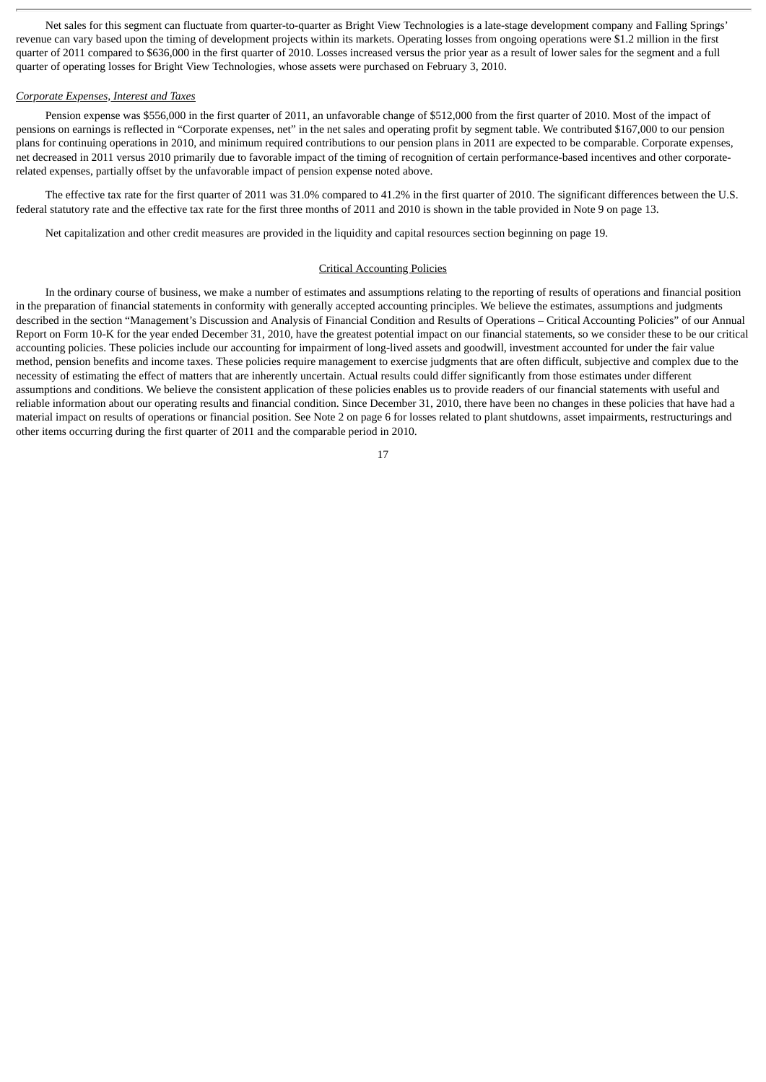Net sales for this segment can fluctuate from quarter-to-quarter as Bright View Technologies is a late-stage development company and Falling Springs' revenue can vary based upon the timing of development projects within its markets. Operating losses from ongoing operations were \$1.2 million in the first quarter of 2011 compared to \$636,000 in the first quarter of 2010. Losses increased versus the prior year as a result of lower sales for the segment and a full quarter of operating losses for Bright View Technologies, whose assets were purchased on February 3, 2010.

#### *Corporate Expenses, Interest and Taxes*

Pension expense was \$556,000 in the first quarter of 2011, an unfavorable change of \$512,000 from the first quarter of 2010. Most of the impact of pensions on earnings is reflected in "Corporate expenses, net" in the net sales and operating profit by segment table. We contributed \$167,000 to our pension plans for continuing operations in 2010, and minimum required contributions to our pension plans in 2011 are expected to be comparable. Corporate expenses, net decreased in 2011 versus 2010 primarily due to favorable impact of the timing of recognition of certain performance-based incentives and other corporaterelated expenses, partially offset by the unfavorable impact of pension expense noted above.

The effective tax rate for the first quarter of 2011 was 31.0% compared to 41.2% in the first quarter of 2010. The significant differences between the U.S. federal statutory rate and the effective tax rate for the first three months of 2011 and 2010 is shown in the table provided in Note 9 on page 13.

Net capitalization and other credit measures are provided in the liquidity and capital resources section beginning on page 19.

#### Critical Accounting Policies

In the ordinary course of business, we make a number of estimates and assumptions relating to the reporting of results of operations and financial position in the preparation of financial statements in conformity with generally accepted accounting principles. We believe the estimates, assumptions and judgments described in the section "Management's Discussion and Analysis of Financial Condition and Results of Operations – Critical Accounting Policies" of our Annual Report on Form 10-K for the year ended December 31, 2010, have the greatest potential impact on our financial statements, so we consider these to be our critical accounting policies. These policies include our accounting for impairment of long-lived assets and goodwill, investment accounted for under the fair value method, pension benefits and income taxes. These policies require management to exercise judgments that are often difficult, subjective and complex due to the necessity of estimating the effect of matters that are inherently uncertain. Actual results could differ significantly from those estimates under different assumptions and conditions. We believe the consistent application of these policies enables us to provide readers of our financial statements with useful and reliable information about our operating results and financial condition. Since December 31, 2010, there have been no changes in these policies that have had a material impact on results of operations or financial position. See Note 2 on page 6 for losses related to plant shutdowns, asset impairments, restructurings and other items occurring during the first quarter of 2011 and the comparable period in 2010.

<sup>17</sup>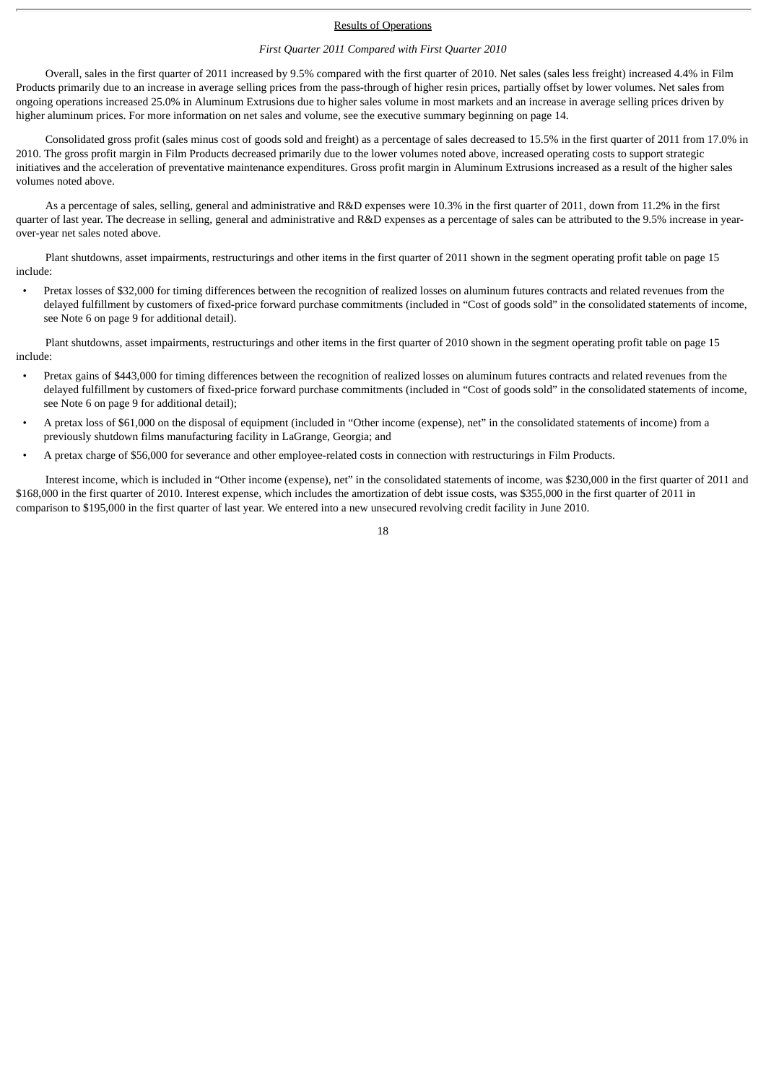# Results of Operations

#### *First Quarter 2011 Compared with First Quarter 2010*

Overall, sales in the first quarter of 2011 increased by 9.5% compared with the first quarter of 2010. Net sales (sales less freight) increased 4.4% in Film Products primarily due to an increase in average selling prices from the pass-through of higher resin prices, partially offset by lower volumes. Net sales from ongoing operations increased 25.0% in Aluminum Extrusions due to higher sales volume in most markets and an increase in average selling prices driven by higher aluminum prices. For more information on net sales and volume, see the executive summary beginning on page 14.

Consolidated gross profit (sales minus cost of goods sold and freight) as a percentage of sales decreased to 15.5% in the first quarter of 2011 from 17.0% in 2010. The gross profit margin in Film Products decreased primarily due to the lower volumes noted above, increased operating costs to support strategic initiatives and the acceleration of preventative maintenance expenditures. Gross profit margin in Aluminum Extrusions increased as a result of the higher sales volumes noted above.

As a percentage of sales, selling, general and administrative and R&D expenses were 10.3% in the first quarter of 2011, down from 11.2% in the first quarter of last year. The decrease in selling, general and administrative and R&D expenses as a percentage of sales can be attributed to the 9.5% increase in yearover-year net sales noted above.

Plant shutdowns, asset impairments, restructurings and other items in the first quarter of 2011 shown in the segment operating profit table on page 15 include:

• Pretax losses of \$32,000 for timing differences between the recognition of realized losses on aluminum futures contracts and related revenues from the delayed fulfillment by customers of fixed-price forward purchase commitments (included in "Cost of goods sold" in the consolidated statements of income, see Note 6 on page 9 for additional detail).

Plant shutdowns, asset impairments, restructurings and other items in the first quarter of 2010 shown in the segment operating profit table on page 15 include:

- Pretax gains of \$443,000 for timing differences between the recognition of realized losses on aluminum futures contracts and related revenues from the delayed fulfillment by customers of fixed-price forward purchase commitments (included in "Cost of goods sold" in the consolidated statements of income, see Note 6 on page 9 for additional detail);
- A pretax loss of \$61,000 on the disposal of equipment (included in "Other income (expense), net" in the consolidated statements of income) from a previously shutdown films manufacturing facility in LaGrange, Georgia; and
- A pretax charge of \$56,000 for severance and other employee-related costs in connection with restructurings in Film Products.

Interest income, which is included in "Other income (expense), net" in the consolidated statements of income, was \$230,000 in the first quarter of 2011 and \$168,000 in the first quarter of 2010. Interest expense, which includes the amortization of debt issue costs, was \$355,000 in the first quarter of 2011 in comparison to \$195,000 in the first quarter of last year. We entered into a new unsecured revolving credit facility in June 2010.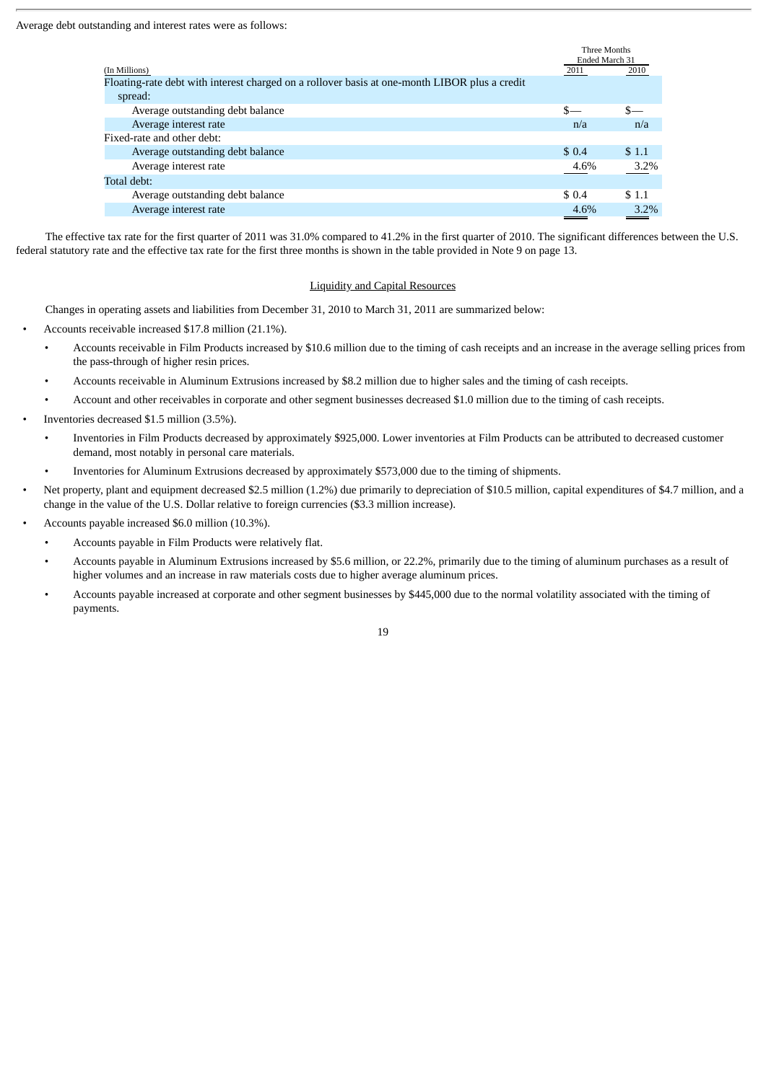#### Average debt outstanding and interest rates were as follows:

|                                                                                               | Three Months<br>Ended March 31 |       |
|-----------------------------------------------------------------------------------------------|--------------------------------|-------|
| (In Millions)                                                                                 | 2011                           | 2010  |
| Floating-rate debt with interest charged on a rollover basis at one-month LIBOR plus a credit |                                |       |
| spread:                                                                                       |                                |       |
| Average outstanding debt balance                                                              | \$—                            |       |
| Average interest rate                                                                         | n/a                            | n/a   |
| Fixed-rate and other debt:                                                                    |                                |       |
| Average outstanding debt balance                                                              | \$ 0.4                         | \$1.1 |
| Average interest rate                                                                         | 4.6%                           | 3.2%  |
| Total debt:                                                                                   |                                |       |
| Average outstanding debt balance                                                              | \$ 0.4                         | \$1.1 |
| Average interest rate                                                                         | 4.6%                           | 3.2%  |
|                                                                                               |                                |       |

The effective tax rate for the first quarter of 2011 was 31.0% compared to 41.2% in the first quarter of 2010. The significant differences between the U.S. federal statutory rate and the effective tax rate for the first three months is shown in the table provided in Note 9 on page 13.

#### Liquidity and Capital Resources

Changes in operating assets and liabilities from December 31, 2010 to March 31, 2011 are summarized below:

- Accounts receivable increased \$17.8 million (21.1%).
	- Accounts receivable in Film Products increased by \$10.6 million due to the timing of cash receipts and an increase in the average selling prices from the pass-through of higher resin prices.
	- Accounts receivable in Aluminum Extrusions increased by \$8.2 million due to higher sales and the timing of cash receipts.
	- Account and other receivables in corporate and other segment businesses decreased \$1.0 million due to the timing of cash receipts.
- Inventories decreased \$1.5 million (3.5%).
	- Inventories in Film Products decreased by approximately \$925,000. Lower inventories at Film Products can be attributed to decreased customer demand, most notably in personal care materials.
	- Inventories for Aluminum Extrusions decreased by approximately \$573,000 due to the timing of shipments.
- Net property, plant and equipment decreased \$2.5 million (1.2%) due primarily to depreciation of \$10.5 million, capital expenditures of \$4.7 million, and a change in the value of the U.S. Dollar relative to foreign currencies (\$3.3 million increase).
- Accounts payable increased \$6.0 million (10.3%).
	- Accounts payable in Film Products were relatively flat.
	- Accounts payable in Aluminum Extrusions increased by \$5.6 million, or 22.2%, primarily due to the timing of aluminum purchases as a result of higher volumes and an increase in raw materials costs due to higher average aluminum prices.
	- Accounts payable increased at corporate and other segment businesses by \$445,000 due to the normal volatility associated with the timing of payments.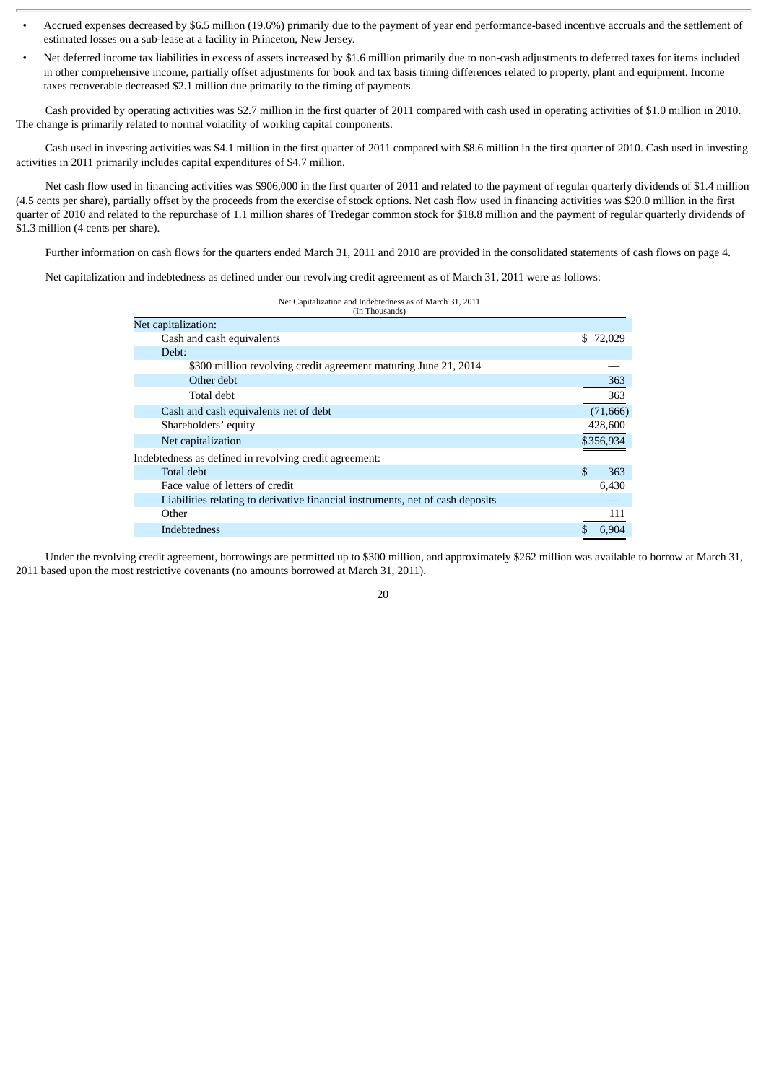- Accrued expenses decreased by \$6.5 million (19.6%) primarily due to the payment of year end performance-based incentive accruals and the settlement of estimated losses on a sub-lease at a facility in Princeton, New Jersey.
- Net deferred income tax liabilities in excess of assets increased by \$1.6 million primarily due to non-cash adjustments to deferred taxes for items included in other comprehensive income, partially offset adjustments for book and tax basis timing differences related to property, plant and equipment. Income taxes recoverable decreased \$2.1 million due primarily to the timing of payments.

Cash provided by operating activities was \$2.7 million in the first quarter of 2011 compared with cash used in operating activities of \$1.0 million in 2010. The change is primarily related to normal volatility of working capital components.

Cash used in investing activities was \$4.1 million in the first quarter of 2011 compared with \$8.6 million in the first quarter of 2010. Cash used in investing activities in 2011 primarily includes capital expenditures of \$4.7 million.

Net cash flow used in financing activities was \$906,000 in the first quarter of 2011 and related to the payment of regular quarterly dividends of \$1.4 million (4.5 cents per share), partially offset by the proceeds from the exercise of stock options. Net cash flow used in financing activities was \$20.0 million in the first quarter of 2010 and related to the repurchase of 1.1 million shares of Tredegar common stock for \$18.8 million and the payment of regular quarterly dividends of \$1.3 million (4 cents per share).

Further information on cash flows for the quarters ended March 31, 2011 and 2010 are provided in the consolidated statements of cash flows on page 4.

Net capitalization and indebtedness as defined under our revolving credit agreement as of March 31, 2011 were as follows:

| Net Capitalization and Indebtedness as of March 31, 2011 |
|----------------------------------------------------------|
| (In Thousands)                                           |

| Net capitalization:                                                            |           |
|--------------------------------------------------------------------------------|-----------|
| Cash and cash equivalents                                                      | \$72,029  |
| Debt:                                                                          |           |
| \$300 million revolving credit agreement maturing June 21, 2014                |           |
| Other debt                                                                     | 363       |
| Total debt                                                                     | 363       |
| Cash and cash equivalents net of debt                                          | (71, 666) |
| Shareholders' equity                                                           | 428,600   |
| Net capitalization                                                             | \$356,934 |
| Indebtedness as defined in revolving credit agreement:                         |           |
| Total debt                                                                     | \$<br>363 |
| Face value of letters of credit                                                | 6,430     |
| Liabilities relating to derivative financial instruments, net of cash deposits |           |
| Other                                                                          | 111       |
| <b>Indebtedness</b>                                                            | 6.904     |

Under the revolving credit agreement, borrowings are permitted up to \$300 million, and approximately \$262 million was available to borrow at March 31, 2011 based upon the most restrictive covenants (no amounts borrowed at March 31, 2011).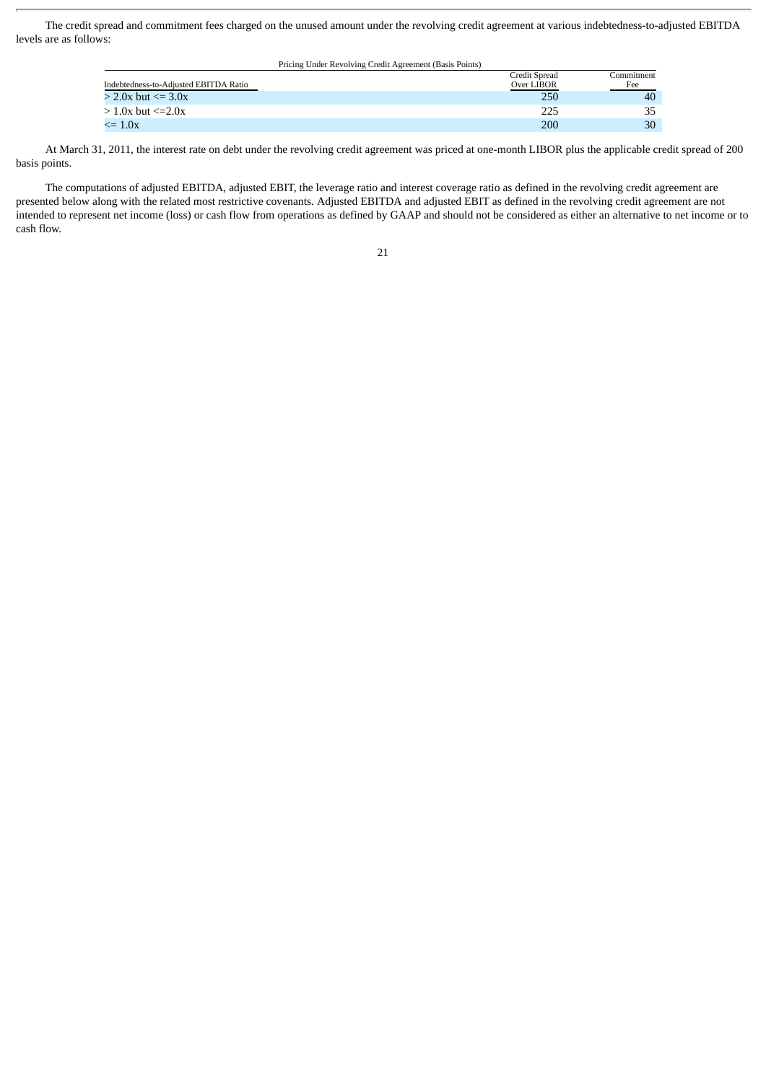The credit spread and commitment fees charged on the unused amount under the revolving credit agreement at various indebtedness-to-adjusted EBITDA levels are as follows:

Pricing Under Revolving Credit Agreement (Basis Points)

 $\overline{a}$ 

|                                       | Credit Spread | Commitment |
|---------------------------------------|---------------|------------|
| Indebtedness-to-Adjusted EBITDA Ratio | Over LIBOR    | Fee        |
| $>$ 2.0x but $\leq$ 3.0x              | 250           | 40         |
| $> 1.0x$ but $\leq=2.0x$              | 225           |            |
| $\leq$ = 1.0x                         | 200           | 30         |

At March 31, 2011, the interest rate on debt under the revolving credit agreement was priced at one-month LIBOR plus the applicable credit spread of 200 basis points.

The computations of adjusted EBITDA, adjusted EBIT, the leverage ratio and interest coverage ratio as defined in the revolving credit agreement are presented below along with the related most restrictive covenants. Adjusted EBITDA and adjusted EBIT as defined in the revolving credit agreement are not intended to represent net income (loss) or cash flow from operations as defined by GAAP and should not be considered as either an alternative to net income or to cash flow.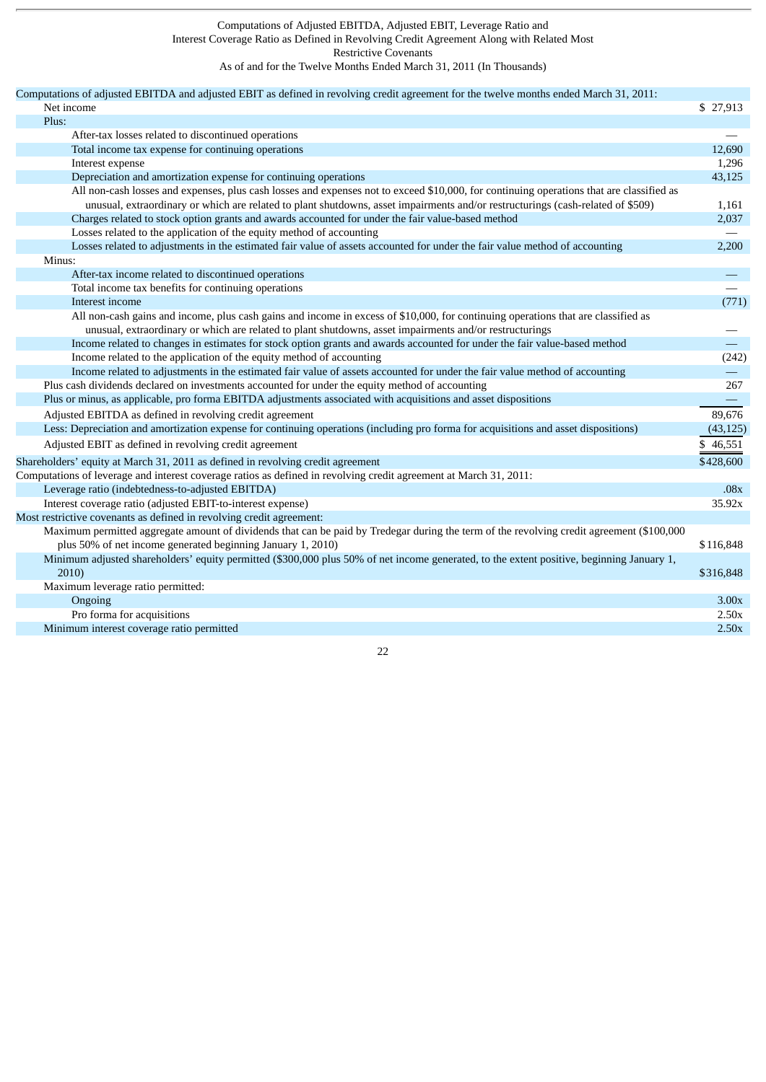Computations of Adjusted EBITDA, Adjusted EBIT, Leverage Ratio and Interest Coverage Ratio as Defined in Revolving Credit Agreement Along with Related Most

Restrictive Covenants

As of and for the Twelve Months Ended March 31, 2011 (In Thousands)

| Computations of adjusted EBITDA and adjusted EBIT as defined in revolving credit agreement for the twelve months ended March 31, 2011:    |           |
|-------------------------------------------------------------------------------------------------------------------------------------------|-----------|
| Net income                                                                                                                                | \$ 27,913 |
| Plus:                                                                                                                                     |           |
| After-tax losses related to discontinued operations                                                                                       |           |
| Total income tax expense for continuing operations                                                                                        | 12,690    |
| Interest expense                                                                                                                          | 1,296     |
| Depreciation and amortization expense for continuing operations                                                                           | 43,125    |
| All non-cash losses and expenses, plus cash losses and expenses not to exceed \$10,000, for continuing operations that are classified as  |           |
| unusual, extraordinary or which are related to plant shutdowns, asset impairments and/or restructurings (cash-related of \$509)           | 1,161     |
| Charges related to stock option grants and awards accounted for under the fair value-based method                                         | 2,037     |
| Losses related to the application of the equity method of accounting                                                                      |           |
| Losses related to adjustments in the estimated fair value of assets accounted for under the fair value method of accounting               | 2,200     |
| Minus:                                                                                                                                    |           |
| After-tax income related to discontinued operations                                                                                       |           |
| Total income tax benefits for continuing operations                                                                                       |           |
| Interest income                                                                                                                           | (771)     |
| All non-cash gains and income, plus cash gains and income in excess of \$10,000, for continuing operations that are classified as         |           |
| unusual, extraordinary or which are related to plant shutdowns, asset impairments and/or restructurings                                   |           |
| Income related to changes in estimates for stock option grants and awards accounted for under the fair value-based method                 |           |
| Income related to the application of the equity method of accounting                                                                      | (242)     |
| Income related to adjustments in the estimated fair value of assets accounted for under the fair value method of accounting               |           |
| Plus cash dividends declared on investments accounted for under the equity method of accounting                                           | 267       |
| Plus or minus, as applicable, pro forma EBITDA adjustments associated with acquisitions and asset dispositions                            |           |
| Adjusted EBITDA as defined in revolving credit agreement                                                                                  | 89,676    |
| Less: Depreciation and amortization expense for continuing operations (including pro forma for acquisitions and asset dispositions)       | (43, 125) |
| Adjusted EBIT as defined in revolving credit agreement                                                                                    | \$46,551  |
| Shareholders' equity at March 31, 2011 as defined in revolving credit agreement                                                           | \$428,600 |
| Computations of leverage and interest coverage ratios as defined in revolving credit agreement at March 31, 2011:                         |           |
| Leverage ratio (indebtedness-to-adjusted EBITDA)                                                                                          | .08x      |
| Interest coverage ratio (adjusted EBIT-to-interest expense)                                                                               | 35.92x    |
| Most restrictive covenants as defined in revolving credit agreement:                                                                      |           |
| Maximum permitted aggregate amount of dividends that can be paid by Tredegar during the term of the revolving credit agreement (\$100,000 |           |
| plus 50% of net income generated beginning January 1, 2010)                                                                               | \$116,848 |
| Minimum adjusted shareholders' equity permitted (\$300,000 plus 50% of net income generated, to the extent positive, beginning January 1, |           |
| 2010)                                                                                                                                     | \$316,848 |
| Maximum leverage ratio permitted:                                                                                                         |           |
| Ongoing                                                                                                                                   | 3.00x     |
| Pro forma for acquisitions                                                                                                                | 2.50x     |
| Minimum interest coverage ratio permitted                                                                                                 | 2.50x     |
|                                                                                                                                           |           |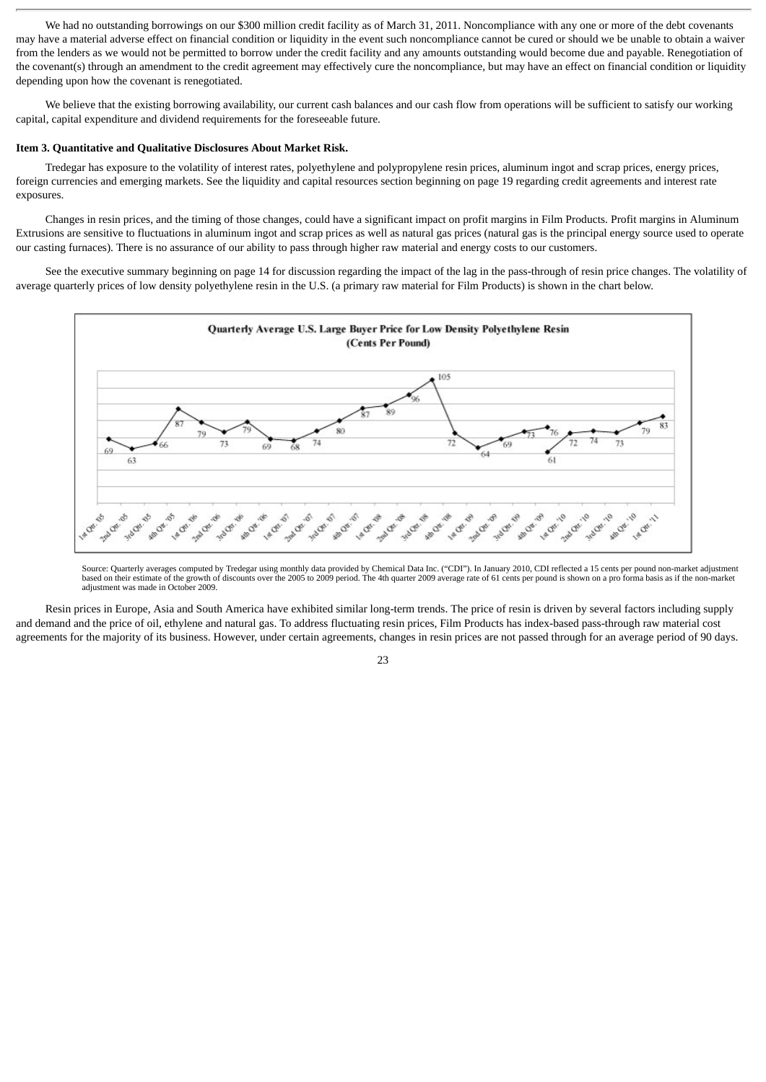We had no outstanding borrowings on our \$300 million credit facility as of March 31, 2011. Noncompliance with any one or more of the debt covenants may have a material adverse effect on financial condition or liquidity in the event such noncompliance cannot be cured or should we be unable to obtain a waiver from the lenders as we would not be permitted to borrow under the credit facility and any amounts outstanding would become due and payable. Renegotiation of the covenant(s) through an amendment to the credit agreement may effectively cure the noncompliance, but may have an effect on financial condition or liquidity depending upon how the covenant is renegotiated.

We believe that the existing borrowing availability, our current cash balances and our cash flow from operations will be sufficient to satisfy our working capital, capital expenditure and dividend requirements for the foreseeable future.

#### **Item 3. Quantitative and Qualitative Disclosures About Market Risk.**

Tredegar has exposure to the volatility of interest rates, polyethylene and polypropylene resin prices, aluminum ingot and scrap prices, energy prices, foreign currencies and emerging markets. See the liquidity and capital resources section beginning on page 19 regarding credit agreements and interest rate exposures.

Changes in resin prices, and the timing of those changes, could have a significant impact on profit margins in Film Products. Profit margins in Aluminum Extrusions are sensitive to fluctuations in aluminum ingot and scrap prices as well as natural gas prices (natural gas is the principal energy source used to operate our casting furnaces). There is no assurance of our ability to pass through higher raw material and energy costs to our customers.

See the executive summary beginning on page 14 for discussion regarding the impact of the lag in the pass-through of resin price changes. The volatility of average quarterly prices of low density polyethylene resin in the U.S. (a primary raw material for Film Products) is shown in the chart below.



Source: Quarterly averages computed by Tredegar using monthly data provided by Chemical Data Inc. ("CDI"). In January 2010, CDI reflected a 15 cents per pound non-market adjustment based on their estimate of the growth of discounts over the 2005 to 2009 period. The 4th quarter 2009 average rate of 61 cents per pound is shown on a pro forma basis as if the non-market adjustment was made in October 2009.

Resin prices in Europe, Asia and South America have exhibited similar long-term trends. The price of resin is driven by several factors including supply and demand and the price of oil, ethylene and natural gas. To address fluctuating resin prices, Film Products has index-based pass-through raw material cost agreements for the majority of its business. However, under certain agreements, changes in resin prices are not passed through for an average period of 90 days.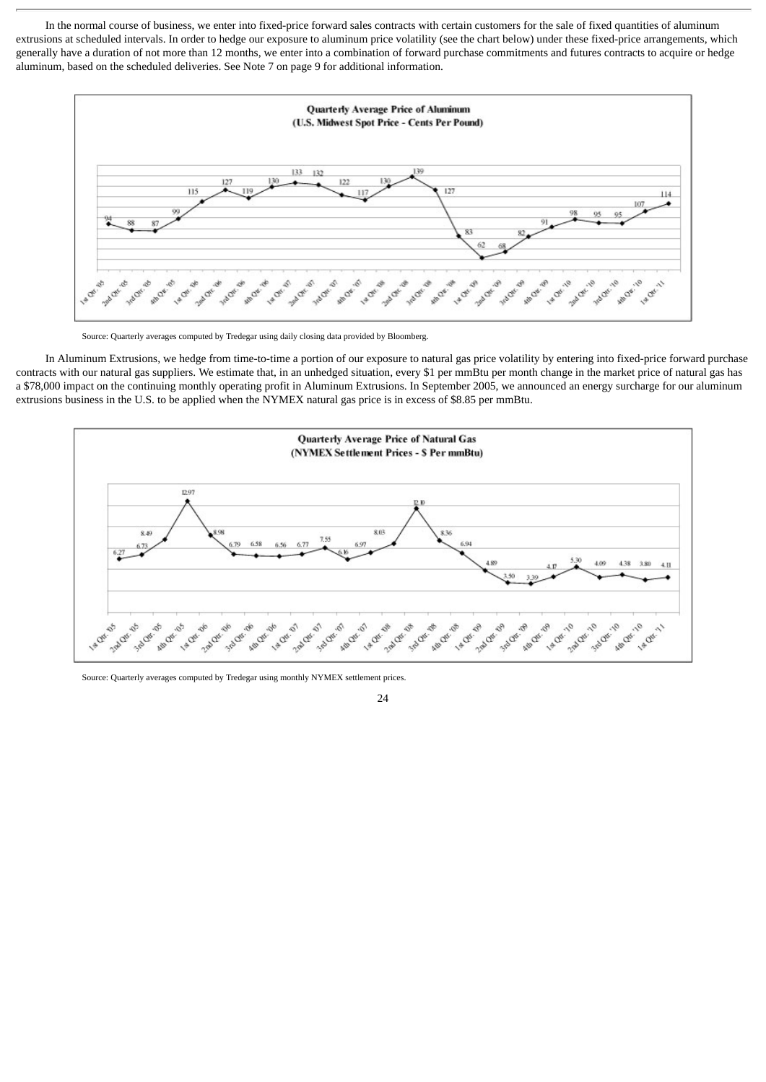In the normal course of business, we enter into fixed-price forward sales contracts with certain customers for the sale of fixed quantities of aluminum extrusions at scheduled intervals. In order to hedge our exposure to aluminum price volatility (see the chart below) under these fixed-price arrangements, which generally have a duration of not more than 12 months, we enter into a combination of forward purchase commitments and futures contracts to acquire or hedge aluminum, based on the scheduled deliveries. See Note 7 on page 9 for additional information.



Source: Quarterly averages computed by Tredegar using daily closing data provided by Bloomberg.

In Aluminum Extrusions, we hedge from time-to-time a portion of our exposure to natural gas price volatility by entering into fixed-price forward purchase contracts with our natural gas suppliers. We estimate that, in an unhedged situation, every \$1 per mmBtu per month change in the market price of natural gas has a \$78,000 impact on the continuing monthly operating profit in Aluminum Extrusions. In September 2005, we announced an energy surcharge for our aluminum extrusions business in the U.S. to be applied when the NYMEX natural gas price is in excess of \$8.85 per mmBtu.



Source: Quarterly averages computed by Tredegar using monthly NYMEX settlement prices.

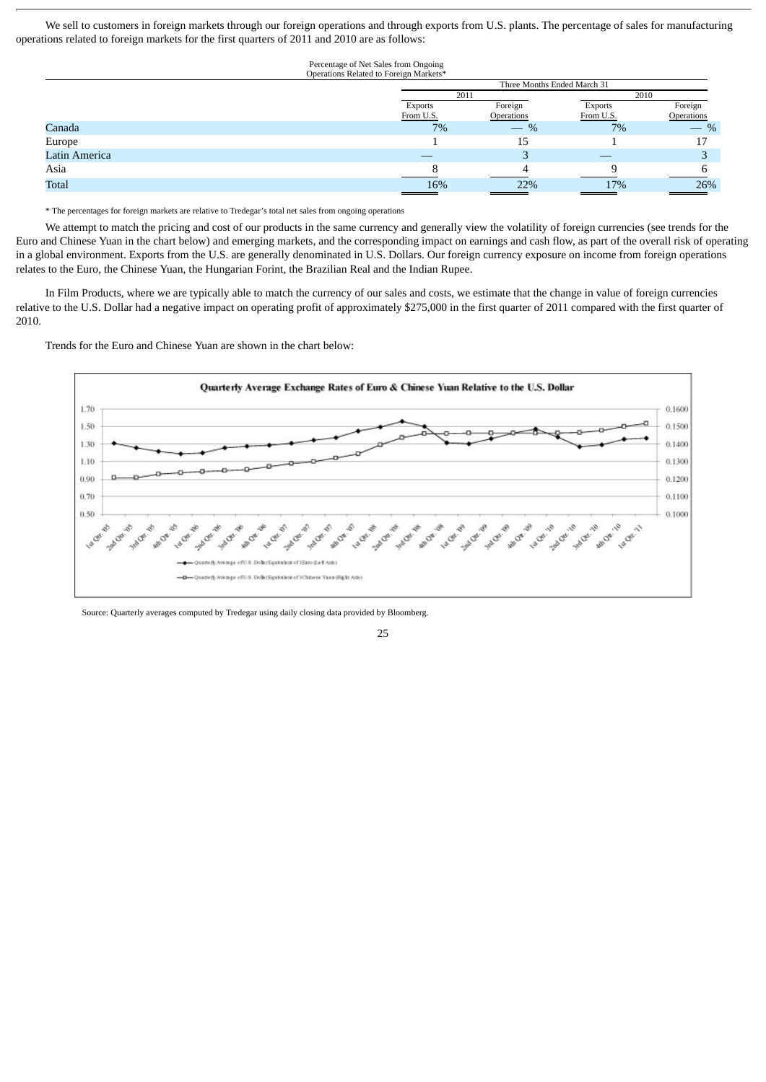We sell to customers in foreign markets through our foreign operations and through exports from U.S. plants. The percentage of sales for manufacturing operations related to foreign markets for the first quarters of 2011 and 2010 are as follows:

| Percentage of Net Sales from Ongoing<br>Operations Related to Foreign Markets* |                             |                             |                      |                       |  |
|--------------------------------------------------------------------------------|-----------------------------|-----------------------------|----------------------|-----------------------|--|
|                                                                                |                             | Three Months Ended March 31 |                      |                       |  |
|                                                                                |                             | 2011                        |                      | 2010                  |  |
|                                                                                | <b>Exports</b><br>From U.S. | Foreign<br>Operations       | Exports<br>From U.S. | Foreign<br>Operations |  |
| Canada                                                                         | 7%                          | $-$ %                       | 7%                   | $-$ %                 |  |
| Europe                                                                         |                             | 15                          |                      |                       |  |
| <b>Latin America</b>                                                           |                             |                             |                      |                       |  |
| Asia                                                                           |                             |                             |                      |                       |  |
| <b>Total</b>                                                                   | 16%                         | 22%                         | 17%                  | 26%                   |  |

\* The percentages for foreign markets are relative to Tredegar's total net sales from ongoing operations

We attempt to match the pricing and cost of our products in the same currency and generally view the volatility of foreign currencies (see trends for the Euro and Chinese Yuan in the chart below) and emerging markets, and the corresponding impact on earnings and cash flow, as part of the overall risk of operating in a global environment. Exports from the U.S. are generally denominated in U.S. Dollars. Our foreign currency exposure on income from foreign operations relates to the Euro, the Chinese Yuan, the Hungarian Forint, the Brazilian Real and the Indian Rupee.

In Film Products, where we are typically able to match the currency of our sales and costs, we estimate that the change in value of foreign currencies relative to the U.S. Dollar had a negative impact on operating profit of approximately \$275,000 in the first quarter of 2011 compared with the first quarter of 2010.

Trends for the Euro and Chinese Yuan are shown in the chart below:



Source: Quarterly averages computed by Tredegar using daily closing data provided by Bloomberg.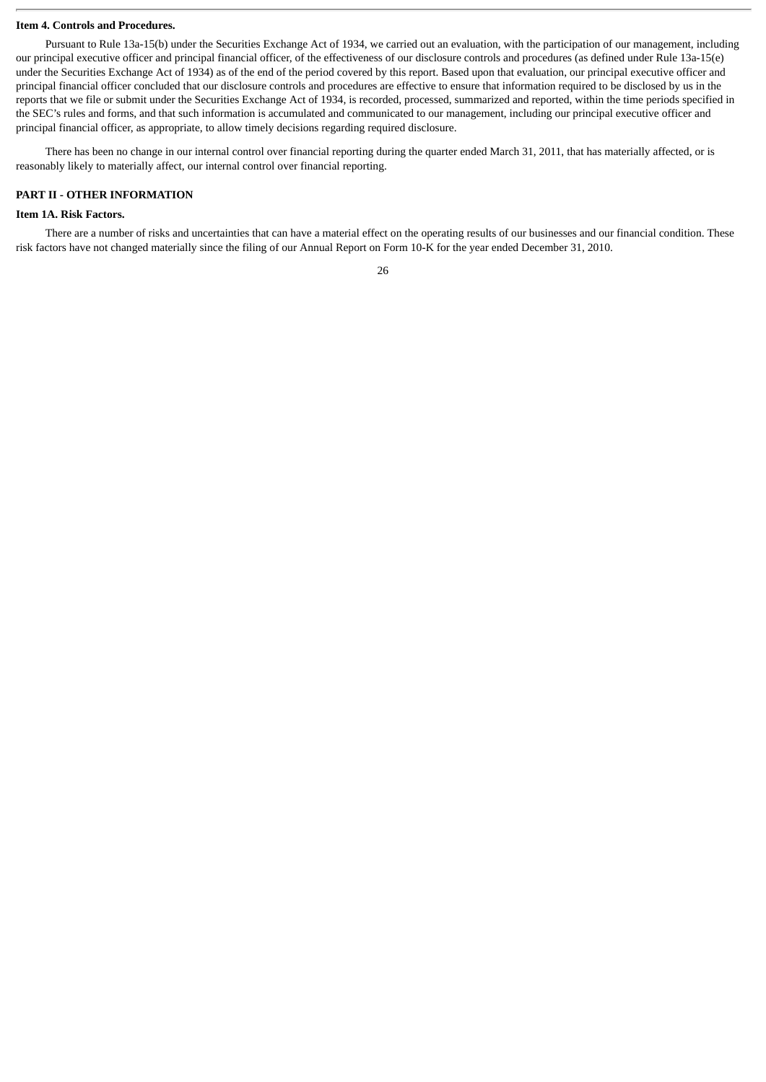#### **Item 4. Controls and Procedures.**

Pursuant to Rule 13a-15(b) under the Securities Exchange Act of 1934, we carried out an evaluation, with the participation of our management, including our principal executive officer and principal financial officer, of the effectiveness of our disclosure controls and procedures (as defined under Rule 13a-15(e) under the Securities Exchange Act of 1934) as of the end of the period covered by this report. Based upon that evaluation, our principal executive officer and principal financial officer concluded that our disclosure controls and procedures are effective to ensure that information required to be disclosed by us in the reports that we file or submit under the Securities Exchange Act of 1934, is recorded, processed, summarized and reported, within the time periods specified in the SEC's rules and forms, and that such information is accumulated and communicated to our management, including our principal executive officer and principal financial officer, as appropriate, to allow timely decisions regarding required disclosure.

There has been no change in our internal control over financial reporting during the quarter ended March 31, 2011, that has materially affected, or is reasonably likely to materially affect, our internal control over financial reporting.

# **PART II - OTHER INFORMATION**

# **Item 1A. Risk Factors.**

There are a number of risks and uncertainties that can have a material effect on the operating results of our businesses and our financial condition. These risk factors have not changed materially since the filing of our Annual Report on Form 10-K for the year ended December 31, 2010.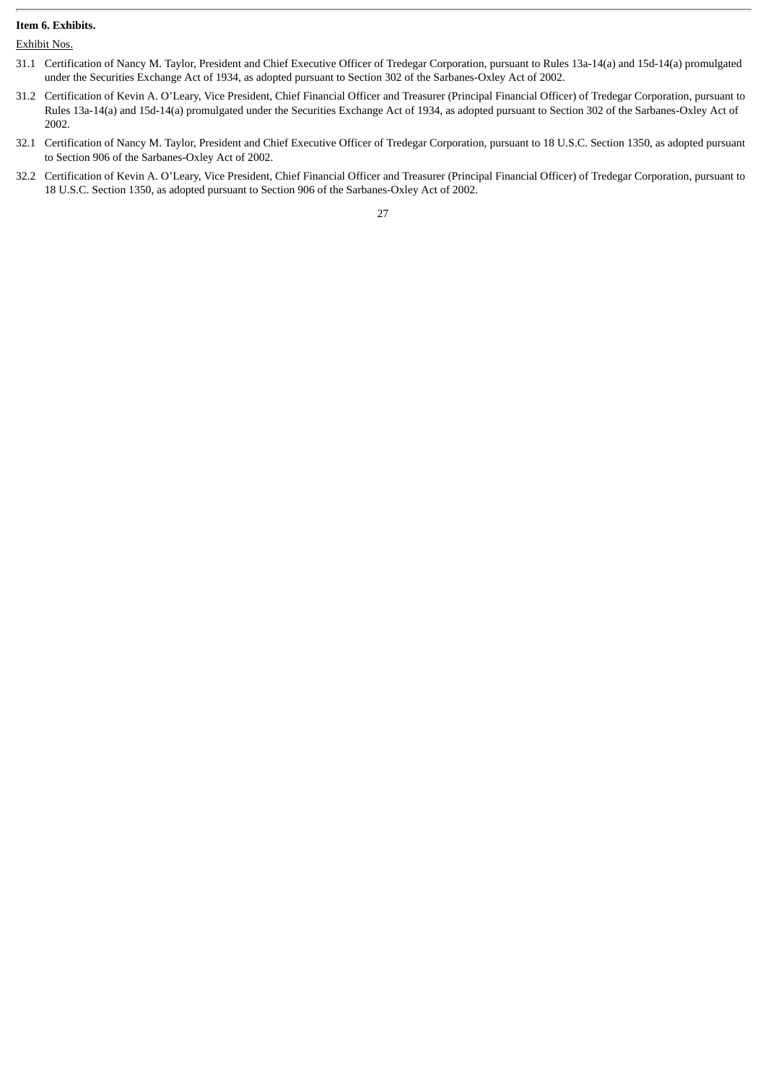### **Item 6. Exhibits.**

Exhibit Nos.

- 31.1 Certification of Nancy M. Taylor, President and Chief Executive Officer of Tredegar Corporation, pursuant to Rules 13a-14(a) and 15d-14(a) promulgated under the Securities Exchange Act of 1934, as adopted pursuant to Section 302 of the Sarbanes-Oxley Act of 2002.
- 31.2 Certification of Kevin A. O'Leary, Vice President, Chief Financial Officer and Treasurer (Principal Financial Officer) of Tredegar Corporation, pursuant to Rules 13a-14(a) and 15d-14(a) promulgated under the Securities Exchange Act of 1934, as adopted pursuant to Section 302 of the Sarbanes-Oxley Act of 2002.
- 32.1 Certification of Nancy M. Taylor, President and Chief Executive Officer of Tredegar Corporation, pursuant to 18 U.S.C. Section 1350, as adopted pursuant to Section 906 of the Sarbanes-Oxley Act of 2002.
- 32.2 Certification of Kevin A. O'Leary, Vice President, Chief Financial Officer and Treasurer (Principal Financial Officer) of Tredegar Corporation, pursuant to 18 U.S.C. Section 1350, as adopted pursuant to Section 906 of the Sarbanes-Oxley Act of 2002.

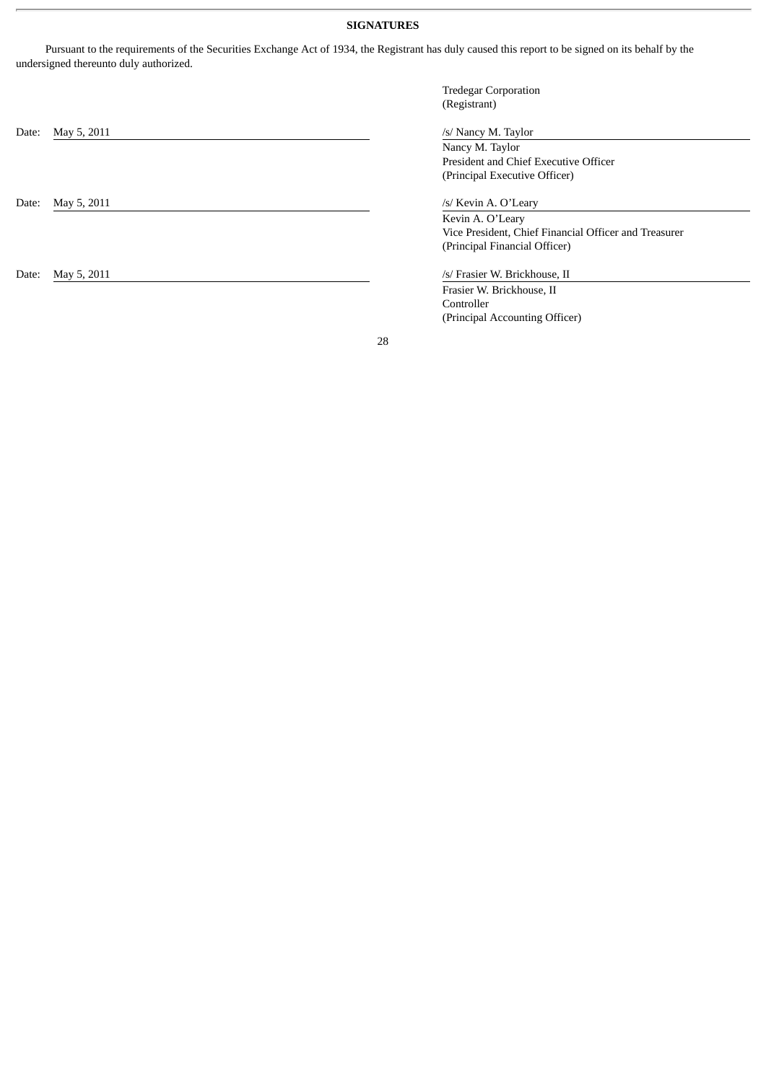# **SIGNATURES**

Pursuant to the requirements of the Securities Exchange Act of 1934, the Registrant has duly caused this report to be signed on its behalf by the undersigned thereunto duly authorized.

# Tredegar Corporation (Registrant)

Date: May 5, 2011 */s/ Nancy M. Taylor* 

Nancy M. Taylor President and Chief Executive Officer (Principal Executive Officer)

Date: May 5, 2011 /s/ Kevin A. O'Leary

Kevin A. O'Leary Vice President, Chief Financial Officer and Treasurer (Principal Financial Officer)

# Date: May 5, 2011 /s/ Frasier W. Brickhouse, II

Frasier W. Brickhouse, II Controller (Principal Accounting Officer)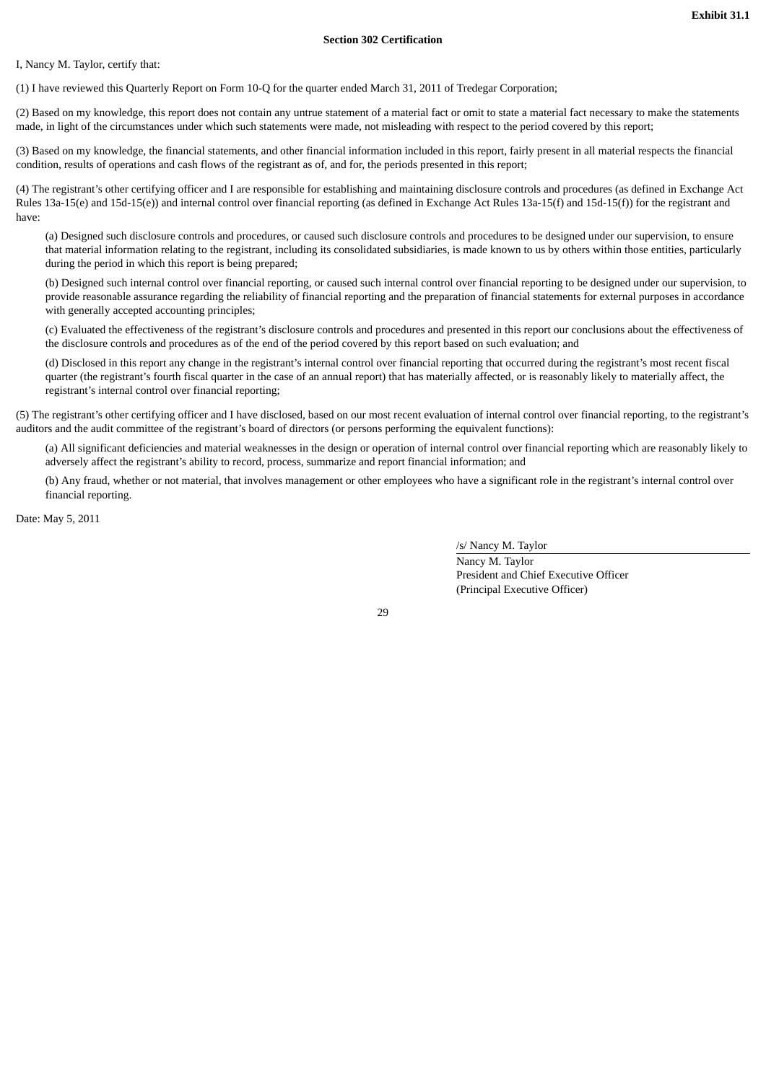I, Nancy M. Taylor, certify that:

(1) I have reviewed this Quarterly Report on Form 10-Q for the quarter ended March 31, 2011 of Tredegar Corporation;

(2) Based on my knowledge, this report does not contain any untrue statement of a material fact or omit to state a material fact necessary to make the statements made, in light of the circumstances under which such statements were made, not misleading with respect to the period covered by this report;

(3) Based on my knowledge, the financial statements, and other financial information included in this report, fairly present in all material respects the financial condition, results of operations and cash flows of the registrant as of, and for, the periods presented in this report;

(4) The registrant's other certifying officer and I are responsible for establishing and maintaining disclosure controls and procedures (as defined in Exchange Act Rules 13a-15(e) and 15d-15(e)) and internal control over financial reporting (as defined in Exchange Act Rules 13a-15(f) and 15d-15(f)) for the registrant and have:

(a) Designed such disclosure controls and procedures, or caused such disclosure controls and procedures to be designed under our supervision, to ensure that material information relating to the registrant, including its consolidated subsidiaries, is made known to us by others within those entities, particularly during the period in which this report is being prepared;

(b) Designed such internal control over financial reporting, or caused such internal control over financial reporting to be designed under our supervision, to provide reasonable assurance regarding the reliability of financial reporting and the preparation of financial statements for external purposes in accordance with generally accepted accounting principles;

(c) Evaluated the effectiveness of the registrant's disclosure controls and procedures and presented in this report our conclusions about the effectiveness of the disclosure controls and procedures as of the end of the period covered by this report based on such evaluation; and

(d) Disclosed in this report any change in the registrant's internal control over financial reporting that occurred during the registrant's most recent fiscal quarter (the registrant's fourth fiscal quarter in the case of an annual report) that has materially affected, or is reasonably likely to materially affect, the registrant's internal control over financial reporting;

(5) The registrant's other certifying officer and I have disclosed, based on our most recent evaluation of internal control over financial reporting, to the registrant's auditors and the audit committee of the registrant's board of directors (or persons performing the equivalent functions):

(a) All significant deficiencies and material weaknesses in the design or operation of internal control over financial reporting which are reasonably likely to adversely affect the registrant's ability to record, process, summarize and report financial information; and

(b) Any fraud, whether or not material, that involves management or other employees who have a significant role in the registrant's internal control over financial reporting.

Date: May 5, 2011

/s/ Nancy M. Taylor

Nancy M. Taylor President and Chief Executive Officer (Principal Executive Officer)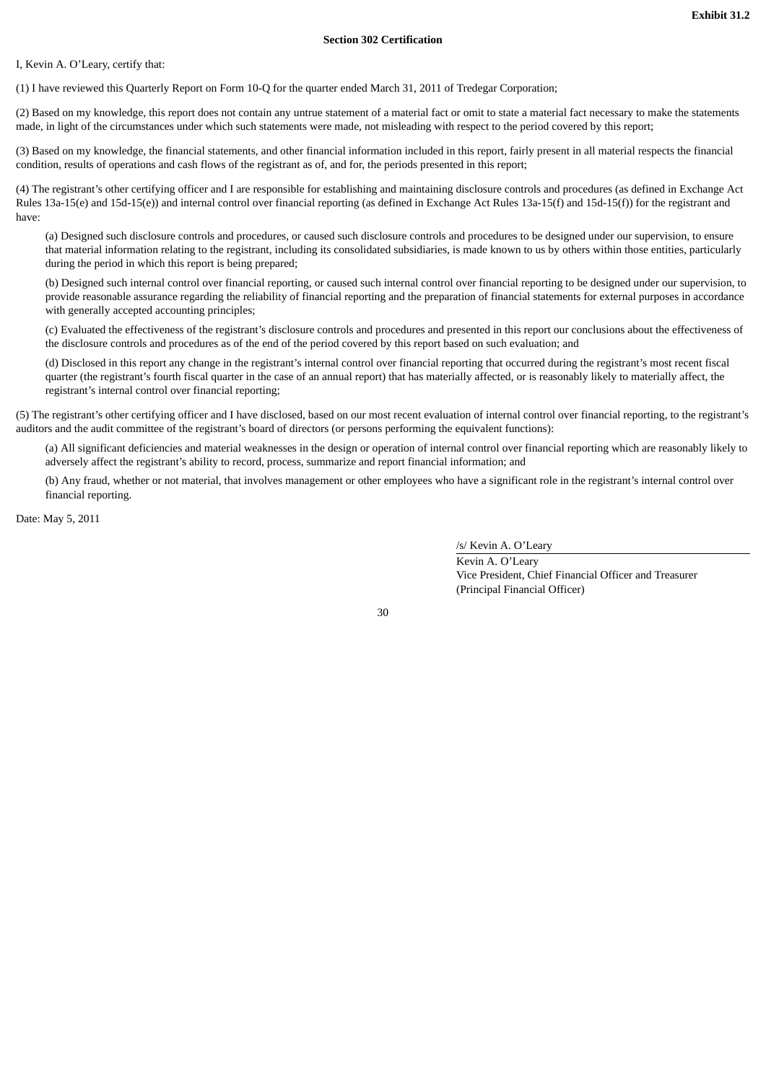I, Kevin A. O'Leary, certify that:

(1) I have reviewed this Quarterly Report on Form 10-Q for the quarter ended March 31, 2011 of Tredegar Corporation;

(2) Based on my knowledge, this report does not contain any untrue statement of a material fact or omit to state a material fact necessary to make the statements made, in light of the circumstances under which such statements were made, not misleading with respect to the period covered by this report;

(3) Based on my knowledge, the financial statements, and other financial information included in this report, fairly present in all material respects the financial condition, results of operations and cash flows of the registrant as of, and for, the periods presented in this report;

(4) The registrant's other certifying officer and I are responsible for establishing and maintaining disclosure controls and procedures (as defined in Exchange Act Rules 13a-15(e) and 15d-15(e)) and internal control over financial reporting (as defined in Exchange Act Rules 13a-15(f) and 15d-15(f)) for the registrant and have:

(a) Designed such disclosure controls and procedures, or caused such disclosure controls and procedures to be designed under our supervision, to ensure that material information relating to the registrant, including its consolidated subsidiaries, is made known to us by others within those entities, particularly during the period in which this report is being prepared;

(b) Designed such internal control over financial reporting, or caused such internal control over financial reporting to be designed under our supervision, to provide reasonable assurance regarding the reliability of financial reporting and the preparation of financial statements for external purposes in accordance with generally accepted accounting principles;

(c) Evaluated the effectiveness of the registrant's disclosure controls and procedures and presented in this report our conclusions about the effectiveness of the disclosure controls and procedures as of the end of the period covered by this report based on such evaluation; and

(d) Disclosed in this report any change in the registrant's internal control over financial reporting that occurred during the registrant's most recent fiscal quarter (the registrant's fourth fiscal quarter in the case of an annual report) that has materially affected, or is reasonably likely to materially affect, the registrant's internal control over financial reporting;

(5) The registrant's other certifying officer and I have disclosed, based on our most recent evaluation of internal control over financial reporting, to the registrant's auditors and the audit committee of the registrant's board of directors (or persons performing the equivalent functions):

(a) All significant deficiencies and material weaknesses in the design or operation of internal control over financial reporting which are reasonably likely to adversely affect the registrant's ability to record, process, summarize and report financial information; and

(b) Any fraud, whether or not material, that involves management or other employees who have a significant role in the registrant's internal control over financial reporting.

Date: May 5, 2011

/s/ Kevin A. O'Leary

Kevin A. O'Leary Vice President, Chief Financial Officer and Treasurer (Principal Financial Officer)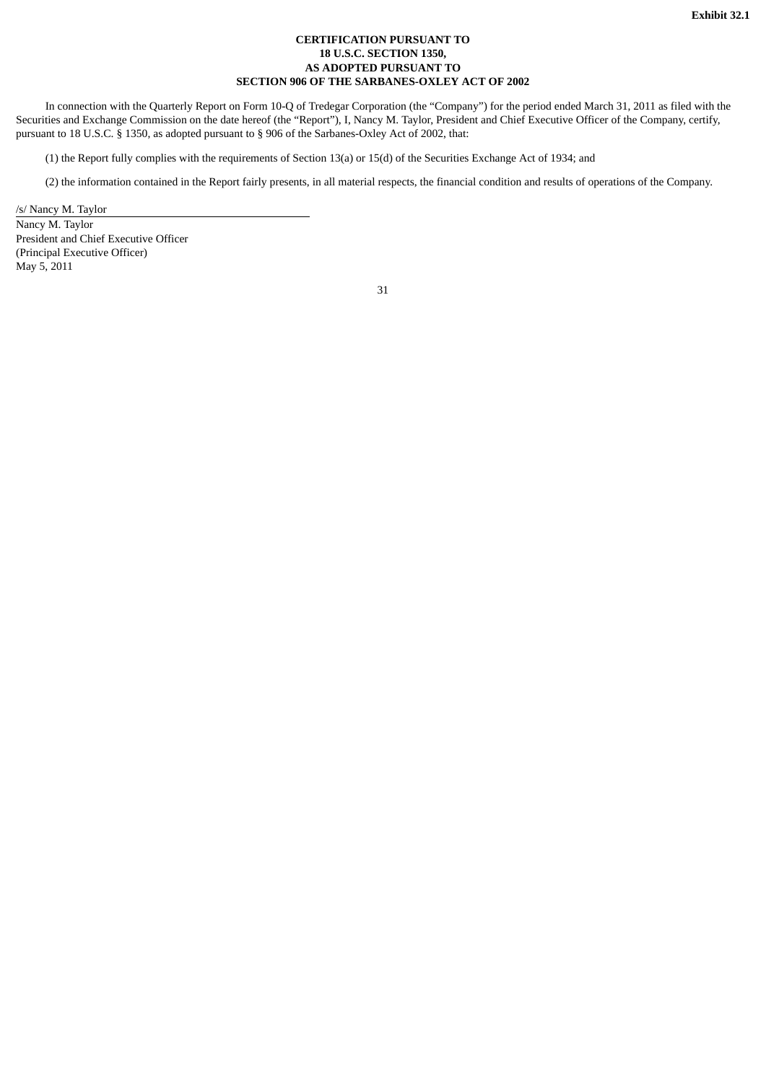# **CERTIFICATION PURSUANT TO 18 U.S.C. SECTION 1350, AS ADOPTED PURSUANT TO SECTION 906 OF THE SARBANES-OXLEY ACT OF 2002**

In connection with the Quarterly Report on Form 10-Q of Tredegar Corporation (the "Company") for the period ended March 31, 2011 as filed with the Securities and Exchange Commission on the date hereof (the "Report"), I, Nancy M. Taylor, President and Chief Executive Officer of the Company, certify, pursuant to 18 U.S.C. § 1350, as adopted pursuant to § 906 of the Sarbanes-Oxley Act of 2002, that:

(1) the Report fully complies with the requirements of Section 13(a) or 15(d) of the Securities Exchange Act of 1934; and

(2) the information contained in the Report fairly presents, in all material respects, the financial condition and results of operations of the Company.

/s/ Nancy M. Taylor

Nancy M. Taylor President and Chief Executive Officer (Principal Executive Officer) May 5, 2011